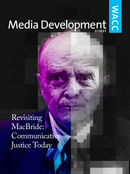# Media Development

NACC

Revisiting MacBride: Communicative Justice Today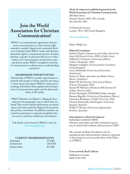### **Join the World Association for Christian Communication!**

WACC is an international organization that promotes communication as a basic human right, essential to people's dignity and community. Rooted in Christian faith, WACC works with all those denied the right to communicate because of status, identity, or gender. It advocates full access to information and communication, and promotes open and diverse media. WACC strengthens networks of communicators to advance peace, understanding and justice.

#### **MEMBERSHIP OPPORTUNITIES**

Membership of WACC provides opportunities to network with people of similar interests and values, to learn about and support WACC's work, and to exchange information about global and local questions of communication rights and the democratization of the media.

WACC Members are linked to a Regional Association for the geographic area in which they are based. They receive regular publications, an annual report, and other materials. Regional Associations also produce newsletters. In addition, members are invited to participate in regional and global activities such as seminars, workshops, and webinars.

Full details can be found on WACC's web site: [www.waccglobal.org](http://www.waccglobal.org)

#### **CURRENT MEMBERSHIP RATES**

| Individual    | 35 USD        |
|---------------|---------------|
| Institutional | 120 USD       |
| Student Rate  | <b>20 USD</b> |

*Media Development* **is published quarterly by the World Association for Christian Communication** 308 Main Street Toronto, Ontario M4C 4X7, Canada. Tel: 416-691-1999

16 Tavistock Crescent London W11 1AP, United Kingdom.

#### [www.waccglobal.org](http://www.waccglobal.org)

Editor: Philip Lee

#### **Editorial Consultants**

Embert Charles *(Chairperson of the Msgr. Patrick Anthony Folk Research Centre (FRC) of Saint Lucia)* Clifford G. Christians *(University of Illinois, Urbana-Champaign, USA).* Margaret Gallagher *(Communications Consultant, United Kingdom).* Cees J. Hamelink *(University of Amsterdam, Netherlands).* Patricia A. Made *( Journalist and Media Trainer, Harare, Zimbabwe).* Robert W. McChesney *(University of Illinois, Urbana-Champaign, USA).* Samuel W. Meshack *(Hindustan Bible Institute & College, Chennai, India)* Francis Nyamnjoh *(CODESRIA, Dakar, Senegal).* Rossana Reguillo *(University of Guadalajara, Mexico).* Clemencia Rodriguez *(Temple University, USA).* Ubonrat Siriyuvasek *(Chulalongkorn University, Bangkok, Thailand)* Pradip N. Thomas *(University of Queensland, Brisbane, Australia).*

#### **Subscriptions to** *Media Development* Individuals worldwide US\$40.

Libraries, universities and other institutions (access may be shared with students, staff and users): US\$75

The contents of *Media Development* may be reproduced only with permission. Opinions expressed in the journal are not necessarily those of the Editor or of WACC.

#### **Cover artwork: Brad Collicott**

Published in Canada ISSN 0143-5558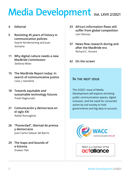## <span id="page-2-0"></span>**Vol. LXVII 2/2021**

#### **4 [Editorial](#page-3-0)**

- **5 [Revisiting 45 years of history in](#page-4-0)  [communication policies](#page-4-0)** [Kaarle Nordenstreng and Juan](#page-5-0)  [Somavia](#page-5-0)
- **11 [Why digital culture needs a new](#page-10-0)  [MacBride Commission](#page-10-0)**  [Stefania Milan](#page-10-0)
- **15 [The MacBride Report today: In](#page-14-0)  [search of communicative justice](#page-14-0)** [Cees J. Hamelink](#page-14-0)
- **18 [Towards equitable and](#page-17-0)  [sustainable technology futures](#page-17-0)** [Preeti Raghunath](#page-17-0)
- **21 [Comunicación y democracia en](#page-20-0)  [el siglo XXI](#page-20-0)** [Rafael Roncagliolo](#page-20-0)
- **26 ["Posverdad", libertad de prensa](#page-25-0)  [y democracia](#page-25-0)** [Juan Carlos Salazar del Barrio](#page-25-0)
- **29 [The leaps and bounds of](#page-28-0)  [e-Estonia](#page-28-0)** [Eneken Tikk](#page-28-0)
- **33 Africa's [information](#page-32-0) flows still suffer from global [competition](#page-32-0)** [Levi Obonyo](#page-32-0)
- **[37 News](#page-36-0) flow research during and [after the MacBride era](#page-36-0)** [Richard C. Vincent](#page-36-0)
- **42 [On the screen](#page-41-0)**

#### **In the next issue**

The 3/2021 issue of Media Development will explore shrinking public communication spaces, digital inclusion, and the need for concerted action by civil society to hold governments and big data to account.



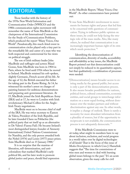### <span id="page-3-0"></span>**EDITORIAL**

Those familiar with the history of the 1970s New World Information and Communication Order (NWICO) and the 1980s communication rights movement will remember the name of Seán MacBride as the chairperson of the International Commission for the Study of Communication Problems, which produced the report "Many Voices, One World". Paradoxically, this much-feted event in communication circles played only a tiny part in the remarkable life and career of a man who was both respected and controversial for his views on political struggle.

The son of Irish military leader John MacBride and suffragist and actress Maud Gonne, Seán MacBride was born in 1904 in Paris, where he lived until 1916 when he moved to Ireland. MacBride retained his soft-spoken, slightly Germanic, French accent all his life. At the age of 12, the British executed his father for taking part in the Easter Rising. At 14, he witnessed his mother's arrest on charges of painting banners for seditious demonstrations and preparing anti-government literature. At 15, MacBride joined the Irish Republican Army (IRA) and at 17, he went to London with Irish revolutionary Michael Collins for the Anglo-Irish Treaty negotiations.

MacBride went on to become chief of staff of the IRA. He was twice secretary to Éamon de Valera, President of the Irish Republic, and he later founded Clann na Poblachta (the political party that set itself up as an alternative to De Valera's Fianna Fail). He became Ireland's most distinguished lawyer, founder of Amnesty International, United Nations Commissioner for Namibia, and the only person awarded both the Nobel (1974) and Lenin (1977) peace prizes. Seán MacBride died on 15 January 1988.<sup>1</sup>

It is no surprise that the mantras of liberation, self-determination, and anticolonialism that marked MacBride's early political life, and his later work to promote global justice and peace, should find expression

#### in the MacBride Report, "Many Voices, One World". As other commentators have pointed out:

"It was Seán MacBride's involvement in movements for human rights and peace that led him to be concerned with questions of communication. Trying to influence public opinion on these issues, he could not help facing the strategic role of the mass media. Also, like many others, he realised that communication is an increasingly important human right of its own which needs protection."2

Identifying the democratization of communication, diversity of media, accessibility and affordability as key issues, the MacBride Report pointed out that democratization could not simply be reduced to its quantitative aspects, but that qualitatively a combination of processes were needed:

"[Democratization] means broader access to existing media by the general public; but access is only a part of the democratization process. It also means broader possibilities for nations, political forces, cultural communities, economic entities, and social groups to interchange information on a more equal footing, without dominance over the weaker partners and without discrimination against any one. In other words, it implies a change of outlook. There is surely a necessity for more abundant information from a plurality of sources, but if the opportunity to reciprocate is not available, the communication process is not adequately democratic."3

If the MacBride Commission were to sit today, what might its members have to say about inclusion, exclusion, and social progress in a world taken over by digital technologies of all kinds? That is the focus of this issue of *Media Development,* in which Cees J. Hamelink suggests that "The time for commissions of wise men and women to deal with burning global issues belongs to the past." It's an acute observation, given the many calls for civil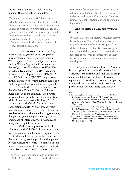#### <span id="page-4-0"></span>society to play a more vital role in policymaking. The same author concludes:

"The 'many voices, one world' theme of the MacBride Commission will in the 21st century have to be dealt with from the bottom up. No longer as a debate on a new global order or a global re-set, but in the form of inspirational local initiatives that… could reach a critical mass that constitutes the tipping point to realize the 'communicative justice' that was the global aspiration all along."

The mantra of communicative justice, closely allied to genuine social progress, has been explored in several previous issues of WACC's journal *Media Development*. Themes such as "Expanding Public Communication Spaces" (3/2020), "MacBride+40: What Next for Media Democracy" (3/2019), "Wanted: Sustainable Development Goal 18" (2/2019) and "Digital Futures" (1/2017) are persistent in their advocacy of communication rights as a vital component of sustainable development.

The MacBride Report, and the work of the MacBride Round Tables that followed it, led directly to the communication rights movement, energized by the Communication Rights in the Information Society (CRIS) Campaign and the World Summit on the Information Society (WSIS). Twenty years later, its impetus slowed in the face of political roadblocks, transnational media conglomerates, deregulation, technological convergence, the emergence of Internet service providers, and unregulated digital platforms.

The kind of social progress implicitly advocated by the MacBride Report was stymied by globalization, neoliberalism, corporate greed, and finally a politics of fear in the context of the return of right-wing politics and populism. Nevertheless, in the considered opinion of Juan Somavia – a member of the original MacBride Commission – and Kaarle Nordenstreng:

"The MacBride Commission was a success story in its time. Its vision based on the democratization of communication continues to be relevant in today's totally different context and indeed would serve well as a model for a new round of global reflection and multilateral policy action."

#### And for Stefania Milan, also writing in this issue:

"Without a doubt, our digital ecosystem urgently needs a new MacBride Commission able to produce a comprehensive critique of the state of play, and to identify corrective policy measures and directions for activists and practitioners to follow in the attempt to reclaim the central role of communications for human development."

The question is how civil society, "from the bottom up" and in tandem with stakeholders worldwide, can organize and mobilize to bring about digital justice – in terms of diversity, equality of access, affordability, and transparency – before those that seek to retain power and profit without accountability seize the day.

#### **Notes**

- 1. Two biographies have been published: *Seán MacBride: A Biography*, by Anthony J. Jordan. Blackwater Press, 1993; *An Irish Statesman and Revolutionary: The Nationalist and Internationalist Politics of Seán MacBride*, by Elizabeth Keane. Tauris, 2006.
- 2. "Seán MacBride: A Short Biography" by Jörg Becker and Kaarle Nordenstreng in *Few Voices, Many Worlds: Towards a Media Reform Movement*, ed. by Michael Traber & Kaarle Nordenstreng. London: WACC, 1992, p. 20.
- 3. *Many Voices, One World. Towards a new more just and more efficient world information and communication order.* Paris: UNESCO, 1980, p. 173.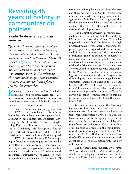### <span id="page-5-0"></span>**Revisiting 45 years of history in communication policies**

#### **Kaarle Nordenstreng and Juan Somavia**

*This article is an extension to the video presentation at the online conference of the International Association for Media and Communication Research (IAMCR) in its [final plenary.](https://iamcr.org/tampere2020/unclosing-plenary) It reminds us of the origins of the MacBride Commission and provides an insider's view of the Commission's work. It also reflects on the changing landscape of international relations and communication from a present-day perspective.*

Knowing and understanding history is indis-<br>pensable – and too often overlooked – also<br>in matters of international communication A pensable – and too often overlooked – also in matters of international communication. A short history lesson on the MacBride Commission leads us to two root causes.

First, the immediate launching ground was UNESCO's General Conference in Nairobi in November 1976 and one item on its agenda: Draft Declaration on Fundamental Principles Governing the Use of the Mass Media in Strengthening Peace and International Understanding and in Combating War Propaganda, Racism and Apartheid (Nordenstreng, 1984: 101-113). This document originated from a Soviet-inspired UNESCO initiative of the early 1970s attempting to formulate normative guidelines for media in matters of global concern. It had been prepared by experts and diplomats and was merely a reminder of the existing international norms and instruments. But there was one Article on "state responsibility" and a reference to the recent UN

resolution defining Zionism as a form of racism, and these became a *casus belli* for Western governments and media. A campaign was mounted against the Draft Declaration, suggesting that the Declaration would be a "curb" to control media in the interest of the socialist East and most of the developing South.

The political controversy in Nairobi escalated into a crisis which was tactfully handled by Director-General Amadou-Mahtar M'Bow. He suggested that the Draft Declaration, although prepared by an intergovernmental conference the previous year, be postponed and further negotiated aiming at consensus, and that meanwhile a "reflection group" be formed to undertake "a comprehensive study on the problems of communication in the modern world" – the mandate of the MacBride Commission. To balance these conceptual and normative activities unpalatable to the West was an initiative to begin mobilizing material resources for the media systems of the developing countries – something which was unwelcome among hard-liners in the East and South as the "Marshall Plan of Telecommunication". In the end a delicate balance of different interests was approved by consensus. M'Bow deserves a medal in commemoration of this historical achievement when he turns 100 on 21 March 2021.

Second, the deeper roots of the MacBride Commission lead us to the global context  $-$  a movement towards a new international information order (Nordenstreng, 1984: 3-77). Four different, although partly overlapping, stages can be discerned in the development of the global relation of forces since the early 1970s – in the field of media policies as well as in the grand designs of world political strategies – until the late 1980s, when the fall of the Berlin wall and the end of the Cold War heralded a new era in history with globalization as its main feature until the new millennium.<sup>1</sup>

The first stage, from the early 1970s until 1976, was dominated by a *decolonization offensive* by the developing countries against the industrialized West. Its first landmark was the 4th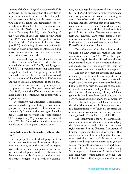summit of the Non-Aligned Movement (NAM) in Algiers (1973) declaring that "the activities of imperialism are not confined solely to the political and economic fields, but also cover the cultural and social fields" and demanding "concerted actions in the fields of mass communication". This led to the NAM Symposium on Information in Tunis (April 1976), to the founding of the NAM Pool of Press Agencies in New Delhi ( July 1976) and finally to the political declaration of the 5th NAM summit in Colombo (August 1976) proclaiming: "A new international information order in the fields of information and mass communication is as important as a new international economic order."

The second stage can be characterized as a *Western counterattack* of a self-defensive nature, which peaked in 1976-77, mainly against UNESCO's programme promoting communication policies. The third strategic stage in 1978-80 emerged soon after the second and was marked by the adoption of the Mass Media Declaration and the MacBride Commission. It can be characterized as tactical maneuvering in a spirit of compromise, or *truce*. The fourth stage followed after 1980, when the Western countries once more adopted a confrontational course, with a *corporate offensive*.

Accordingly, the MacBride Commission was no isolated chapter in history; it was an integral part of a highly politicized information war, academically known as the great global media debate (Gerbner, Mowlana and Nordenstreng, 1993). Originating 45 years ago in the eventful year 1976, the Commission should be seen as a manifestation of a long and tortuous process.

#### **Commission member Somavia recalls its mission2**

From the perspective of the developing countries of the time, confronting "information dependency" and placing it at the heart of the report was both daring and indispensable for an autonomous development outlook. It began with the dynamics of decolonization and was part of a wider struggle to deal with neo-colonialism, but was rapidly transformed into a powerful Third World movement, both governmental and non-governmental: countries wanting to assert themselves with their own cultural and political identity. They felt that their reality was communicated to the rest of the world, including their own countries, with the cultural, and often political bias of the four Western news agencies (AP, UPI, Reuters, AFP) which dominated the international media arena of the time. All this in the context of the Cold War with a polarized East-West information sphere.

These elements led to the realization that we needed a new world information and communication order (NWICO). What the report does is to legitimize that discussion and show a way forward based on the conviction that this outlandish idea was indeed possible. Four key values or cornerstones emerge from the report.

The first is respect for diversity and cultural identity – the basic notion of respect for the other. And it is not only in terms of acknowledging that the developing world is not well reflected, but also has to do with the essence of communication at the national level: you have to respect the other – national, society, culture, individual, gender. It should reinforce social cohesion and convey a sense of belonging. As the comment by Gabriel García Márquez and Juan Somavia in the MacBride report puts it: "Communication... is a determining factor of all social processes and a fundamental component of the way societies are organized." (*Many Voices*…, 1980: 281)

The second value is the need to democratize communications, which means acknowledging the rights to inform and be informed as human rights enshrined in the Universal Declaration of Human Rights and the related Covenants. That means you need to have a multiplicity of sources, from vertical to horizontal. Moreover, it proclaims a need to go beyond elites and to give the voice of the people a more direct hearing. Sources need to reflect the society that we are describing. So, it began as an international problem, but it also dealt with communication at home. And, linked to that, is the unequal concentration of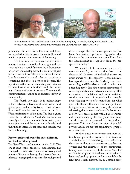

*Dr Juan Somavia (left) and Professor Kaarle Nordenstreng (right) conversing during the 2020 online conference of the International Association for Media and Communication Research (IAMCR).*

power and the need for a balanced and transparent relationship between the controllers and media output as a cornerstone of democracy.

The third value is the conviction that information is not a commodity. It is a right and consequently has a social function. As a foundation of society and development, it is an integral part of the manner in which societies move forward. It is fundamental to social cohesion, but it costs something and there is a price to be paid. The report states that we have to distinguish between communication as a business and the meaning of communication in society. Consequently, communication cannot be considered simply as a commodity.

The fourth key value is to acknowledge a link between international information and global peace and security issues – that information should not be used as a tool in the East-West confrontation of the time. The fact is given – and this is where the Cold War comes in so strongly – that the extent of disinformation, misrepresentation and distortion on both sides and their link to international peace and security was extremely strong.

#### **Forty years later the world is quite different, but the key values prevail**

The East-West confrontation of the Cold War era is long gone, neoliberal globalization has emerged and is in crisis, different forms of global power shifts are underway, the Internet has proliferated, changing the entire media ecology, and

it is no longer the four news agencies but five large international platform oligopolies that dominate the communication scene. How does the Commission's message look from the perspective of today?

We should ask if communication today is more democratic; are information flows more democratic? In terms of individual access, we must answer yes, the capacity to communicate has expanded enormously. Anybody can tweet something, and if it strikes a chord, it can become a trending topic. It is also a major instrument of social organization and activism and many other expressions of individual and social activities. At the same time this expansion has brought about the dispersion of responsibility for what goes into the air; there are enormous problems in digital access. We are at the very threshold of addressing this matter as an issue of a democratic society. Also, access comes with a basic commercial conditionality by the five global companies and their use of our personal data for business purposes. This is a blatant invasion of people's privacy. Again, we are just beginning to grapple with this issue.

Another question is content: is it more culturally and politically diverse? It is in terms of availability, but it has not changed the basic norm described in the report: one way or another, the owners and the controllers of the communication system continue to call the shots. Misinformation is rampant, professional information is being replaced by opinion and accountability for fake news is non-existent. So, in a certain sense,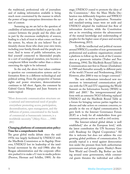the traditional, professional role of journalism and of making information available is being much more constrained by the manner in which the power of large enterprises determines the nature of content.

Summing up, we are led to the question of credibility of information fuelled in part by a disconnect between the people and the elites and in part by the enormous multiplicity of sources, leading to a lack of trust in what comes out from the system. So, whom do you believe? You ultimately choose those who share your own views, including your family, friends and the people you trust. And in terms of public information, you find yourself connected to likeminded people; in a sort of sociological mutation, you become a complacent fellow traveller rather than a citizen exercising the right to be informed.

In the end, the above four values continue to question our communication systems and information flows in a different technological and political setting. From the perspective of human rights and power structures, democratization continues to fall short. Again, the comment by Gabriel García Márquez and Juan Somavia remains topical:

"More democratic communication structures are a national and international need of peoples everywhere promoting access, participation, decentralization, open management, and the diffusion of power, concentrated in the hands of commercial or bureaucratic interests, is a worldwide necessity." (*Many Voices*…, 1980: 281)

#### **Changing platforms of communication policy: Time for a comprehensive look**

The great global media debate since the mid-1970s was largely facilitated by UNESCO with the MacBride Commission as its flagship. However, UNESCO lost its leadership of the intellectual movement by the mid-1980s after the Reagan administration and the corporate offensive pushed it to make a U-turn in media policies (Preston, Herman and Schiller, 1989). At this

stage, UNESCO ceased to promote the ideas of the Commission.3 Also the Mass Media Declaration was deliberately forgotten and NWICO had no place in the Organization. Normative and standard-setting issues were set aside and UNESCO adopted the traditional free flow of information doctrine, while the Constitution sets as its overriding mission the advancement of the mutual knowledge and understanding of peoples for the higher cause of peace and security (Nordenstreng, 2013).

To fill the intellectual and political vacuum around NWICO, a number of non-governmental professional and academic organizations created a platform to follow up the work of the Commission as a grassroots initiative (Traber and Nordenstreng, 1994). The MacBride Round Table on Communication met first in Harare (Zimbabwe) in 1989 and thereafter annually in different parts of the world (Vincent and Nordenstreng, 2016). However, after 2000 it was no longer convened.<sup>4</sup>

The new millennium introduced new momentum to international communication policies with the UN and ITU organizing the World Summit on the Information Society (WSIS) in 2003 and 2005.<sup>5</sup> The intergovernmental platform with an extensive NGO following replaced UNESCO and the MacBride Round Table as a forum for bringing various parties together to discuss and take action on common concerns, especially in the era of digital communication. It gave birth to the Internet Governance Forum (IGF) as a body for all stakeholders from governments, private sector as well as civil society.

The Internet-related global debate is well established,<sup>6</sup> also at the European level,<sup>7</sup> with the latest contribution the UN Secretary General's Roadmap for Digital Cooperation.8 All this is welcome but does not address the ever growing global problems of communication. Especially topical is a trend against democratization under the pressure from both authoritarian governments and private giants. Huxley's Brave New World and Orwell's Big Bother are lurking around some governments, while commercial giants threaten the individual and collect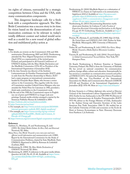ive rights of citizens, surrounded by a strategic competition between China and the USA, with many communication components.

This dangerous landscape calls for a fresh look with a comprehensive approach. The Mac-Bride Commission was a success story in its time. Its vision based on the democratization of communication continues to be relevant in today's totally different context and indeed would serve well as a model for a new round of global reflection and multilateral policy action.

#### **Notes**

- 1. For details, see reviews on the Commission's 25th and 30th anniversaries (Nordenstreng, 2005 and 2010). Nordenstreng attended the Non-Aligned Symposium on Information (April 1976) as a representative of the invited guest, Finland, and participated in all General Conferences of UNESCO dealing with the Mass Media Declaration and the MacBride Commission (1976-85) as President of the International Organization of Journalists (IOJ).
- 2. At the time Somavia was director of the Instituto Latinoamericano de Estudios Transnacionales (ILET) while in exile from the Pinochet dictatorship in Mexico. ILET had a major program on international communication headed by Fernando Reyes Matta, who became a senior advisor to the Commission. This, together with the vision of Commission member Gabriel García Márquez, who was awarded the Nobel Prize for Literature in 1982, provided a think tank contribution to the Commission's work.
- 3. By the end of the 1990 the Commission's report in English ran out of print and UNESCO no longer took new printings. Instead, media scholars arranged a reprint by the American Publisher Roman & Littlefield in 2004.
- 4. <https://indstate.edu/cas/macbrideroundtable>
- 5. <https://www.itu.int/net/wsis/>
- 6. For example, see [http://www.circleid.com/posts/20210108](http://www.circleid.com/posts/20210108-internet-governance-outlook-2021-digital-cacaphony/) [internet-governance-outlook-2021-digital-cacaphony/](http://www.circleid.com/posts/20210108-internet-governance-outlook-2021-digital-cacaphony/)
- 7. For example, see [https://www.eurodig.org/wp-content/](https://www.eurodig.org/wp-content/uploads/2021/01/EuroDIG_Media-and-Content_A-Decade-of-Change.pdf) [uploads/2021/01/EuroDIG\\_Media-and-Content\\_A-](https://www.eurodig.org/wp-content/uploads/2021/01/EuroDIG_Media-and-Content_A-Decade-of-Change.pdf)[Decade-of-Change.pdf](https://www.eurodig.org/wp-content/uploads/2021/01/EuroDIG_Media-and-Content_A-Decade-of-Change.pdf)
- 8.<https://www.un.org/en/content/digital-cooperation-roadmap/>

#### **References**

- Gerbner, G., Mowlana,, H. and Nordenstreng, K. (eds) (1993) *The Global Media Debate: Its Rise, Fall, and Renewal*. Norwood, NJ: Ablex.
- *Many Voices, One World. Towards a new more just and more efficient world information and communication order* (1980). Report by the International Commission for the Study of Communication Problems, chaired by Seán MacBride. Paris: UNESCO. Reprinted in 2004 by Rowman & Littlefield (Lanham, MD).
- Nordenstreng, K. (1984) *The Mass Media Declaration of UNESCO*. Norwood, NJ: Ablex.
- Nordenstreng, K. (2005) A milestone in the great media debate. *Quardens del CAC*, No 45: 25-48. Available at [https://www.](https://www.cac.cat/sites/default/files/2019-05/Q21_nordenstreng_EN.pdf) [cac.cat/sites/default/files/2019-05/Q21\\_nordenstreng\\_](https://www.cac.cat/sites/default/files/2019-05/Q21_nordenstreng_EN.pdf) [EN.pdf](https://www.cac.cat/sites/default/files/2019-05/Q21_nordenstreng_EN.pdf)
- Nordenstreng, K. (2010) MacBride Report as a culmination of NWICO. *[Les Enjeux de l'information et la communication,](https://lesenjeux.univ-grenoble-alpes.fr/2010/articles-revue/publication-supplement-2010-a-communication-changement-social-afrique-30-ans-apres-rapport-mc-bride/)  [Supplément 2010 A](https://lesenjeux.univ-grenoble-alpes.fr/2010/articles-revue/publication-supplement-2010-a-communication-changement-social-afrique-30-ans-apres-rapport-mc-bride/)*. Available at [https://lesenjeux.univ](https://lesenjeux.univ-grenoble-alpes.fr/2010/articles-revue/publication-supplement-2010-a-communication-changement-social-afrique-30-ans-apres-rapport-mc-bride/)[grenoble-alpes.fr/2010/articles-revue/publication](https://lesenjeux.univ-grenoble-alpes.fr/2010/articles-revue/publication-supplement-2010-a-communication-changement-social-afrique-30-ans-apres-rapport-mc-bride/)[supplement-2010-a-communication-changement-social](https://lesenjeux.univ-grenoble-alpes.fr/2010/articles-revue/publication-supplement-2010-a-communication-changement-social-afrique-30-ans-apres-rapport-mc-bride/)[afrique-30-ans-apres-rapport-mc-bride/](https://lesenjeux.univ-grenoble-alpes.fr/2010/articles-revue/publication-supplement-2010-a-communication-changement-social-afrique-30-ans-apres-rapport-mc-bride/)
- Nordenstreng, K. (2013) Deconstructing libertarian myths about press freedom. In Carlsson, U. (ed), *Freedom of Expression Revisited: Citizenship and Journalism in the Digital Era*, pp. 45-59. Gothenburg: Nordicom. Available at [https://](https://www.nordicom.gu.se/en/publikationer/freedom-expression-revisited) [www.nordicom.gu.se/en/publikationer/freedom-expression](https://www.nordicom.gu.se/en/publikationer/freedom-expression-revisited)[revisited](https://www.nordicom.gu.se/en/publikationer/freedom-expression-revisited)
- Preston, W., Herman, E. and Schiller, H. (1989) *Hope & Folly. The United States and UNESCO 1945-1985*. Preface by Seán MacBride. Minneapolis, MN: University of Minnesota Press.
- Traber, M. and Nordenstreng, K. (eds) (1992) *Few Voices, Many Worlds: Towards a Media Reform Movement*. London: WACC.
- Vincent, R. and Nordenstreng, K. (eds) (2016) *Towards Equity in Global Communication? Second Edition.* New York, NY: Hampton Press.

Dr Kaarle Nordenstreng is Professor Emeritus at Tampere University, Finland. His PhD is from the University of Helsinki. He has served on national committees for communication policies, foreign affairs, culture and education. Internationally he has served as a consultant on communication research and policy at UNESCO (1971-76) and at the European Science Foundation (2000-04). He was Vice-President of the International Association for Media and Communication Research (IAMCR) 1972-88 and President of the International Organization of Journalists (IOJ) 1976-90. More at <https://sites.tuni.fi/kaarle/>

Dr Juan Somavia is a Chilean diplomat who served as Director General of the International Labour Organization (ILO) 1999- 2012. Earlier he was Ambassador to the UN 1990-99, Director of Instituto Latinoamericano de Estudios Transnacionales (ILET) 1973-90, adviser to the Foreign Minister of Chile, Ambassador to the Andean Group and Executive Secretary of the Latin American Free Trade Association 1966-73. He studied law at the Catholic University of Chile and economics at the Ecole de Droit et Sciences Economiques in Paris. Honorary Doctorate from Pantheon 3, la Sorbonne.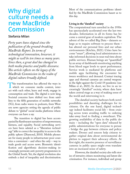### <span id="page-10-0"></span>**Why digital culture needs a new MacBride Commission**

#### **Stefania Milan**

*Forty years have elapsed since the publication of the ground-breaking MacBride Report. In terms of technological innovation, however, it might as well be ten times as many years. Since then, a great deal has changed in both media practice and public discourse. This article reflects on the legacy of the MacBride Commission in the realm of digital culture broadly defined.*

This transformation has affected the ways in<br>which we consume media content, inter-<br>act with each other learn and work engage in which we consume media content, interact with each other, learn and work, engage in consumption and trade. The digital is now king. Societal concerns have shifted too: from satellites to the fifth generation of mobile networks (5G), from radio waves to podcasts, from Western news agencies setting the agenda of public debate to "global" social media platforms where everyone can have a say.

The transition to digital has been accompanied by flamboyant narratives of empowerment, fairness, and equality. Social networking services have been saluted as a "liberation technology" able to correct the inequality in access to the public sphere (Diamond, 2010). Mobile phones are for many people in infrastructure-poor countries a convenient – and often the only – way to trade goods and access news. Biometric identification and algorithmic decision-making increasingly permeate anti-poverty programmes in the Global South. Yet, the digital revolution also embeds a deal of inequality and discrimination.

Most of the communications problems identified by the MacBride Commission haunt us to this day.

#### **Living in the "datafied" society**

The computational turn unveiled in the 1950s has spectacularly accelerated over the last two decades. Information in all its forms has become a central gear of modern capitalism. The advent of the so-called Big Data – datasets so large as to require software to process them – has altered our personal lives and our urban environments (Kitchin, 2021). Cities have become "smart", allowing local administrators to take informed decisions in near real time about public services. Human beings are "quantified" by an array of dashboards monitoring anything from blood sugar levels to sport performance. Service work is mediated by platforms and mobile apps facilitating the encounter between workforce and demand. Contact tracing apps and thermal cameras are central weapons in the fight against the Covid-19 pandemic (see Milan et al., 2021). In short, we live in an increasingly "datafied" society, where data have taken central stage as a way of making sense of the world and intervening in it.

The datafied society harbours both novel possibilities and daunting challenges for its citizens. On the one hand, digital technology indeed facilitates social life – from cruising across town avoiding traffic to ordering take-away food to finding a sweetheart. The growing availability of data in the public domain – including the "open data" released by public administrations for everyone to peruse – bridge the gap between citizens and policymakers. Drones and sensors help citizens to gather original data about environmental depletion to support their advocacy efforts. At first sight, the massive presence of surveillance cameras in public space might even translate into an increased sense of safety.

However, the datafied society also tells stories of intrusive citizen monitoring and latent discrimination. For instance, individual and group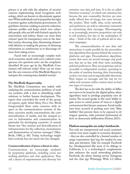privacy is at risk with the adoption of security cameras implementing facial recognition technology, which are known to discriminate against non-White individuals and to jeopardize the right to protest against authoritarian governments. Algorithmic decision-making in poverty-reduction schemes profiles and keeps watch over vulnerable people, who are left with limited capacity for intervention and redress. States can resist their citizens' quest for transparency even in the datafied society, obscuring data, threatening datasets with deletion or making the process of obtaining information so cumbersome as to discourage citizens from taking action.

Faced with an increasingly complex technical ecosystem awash with socio-cultural consequences, two questions arise: are the complaints identified 40 years ago by the MacBride Commission still relevant today? How can we translate the core concerns of the MacBride Report to interpret the contemporary datafied society?

#### **The MacBride Report today**

The MacBride Commission was tasked with analysing the communication problems of modern societies, with a view to identifying viable solutions to further human development. The report that concluded the work of the group of experts, aptly titled *Many Voices One World*, foregrounded three main concerns with respect to the communications systems of the time: excessive media concentration, the commercialization of media, and the unequal access to information and communication in particular for developing countries. A central theme was "the creation and diversification of infrastructures for the collection, transmission and dissemination of various messages" (Mac-Bride, 1980, p. 68). Today, technology might have evolved, but not much else has changed.

#### **Commercialization of poses a threat to voice**

Communications are increasingly mediated by proprietary platforms, including social networking platforms and chat applications. They sell a dream of empowerment and diversity but

monetize user data and time. It is the so-called "attention economy", in which user attention has become the new commodity. Services are nominally offered free-of-charge, but users become the product. Their traffic data, social networks and preferences are sold to advertisers interested in customizing their messages. Microtargeting is an increasingly attractive proposition not only to sell products, but also in the marketplace of ideas – think of the role of political ads in electoral campaigns.

The commercialization of user data and interactions is made possible by the personalization algorithms that operate behind the scenes in platforms and apps. Personalization algorithms ensure that users are served messages and products that are in line with their taste, including political preferences. They are proprietary and inaccessible to independent scrutiny; operating in the realm of machine learning, their functioning evolves over time and in unpredictable directions. Their impact on messages and the way we visualize and consume online content raises at least two types of concerns.

The first has to do with the ability of different voices to be heard in the digital sphere, when algorithms tend to privilege popularity over diversity. The second speaks to the users' ability to gain access to varied points of view, in a digital environment that favours sameness. Social media have been accused of pushing users into "filter bubbles" that prevent them to be exposed to divergent opinions, with potential detrimental effects on democratic deliberation (Pariser, 2011).

#### **Platform monopolies are today's bottlenecks**

Not only are interpersonal and social communications ever more caught in economic dynamics – they are also controlled by a limited number of mega-corporations that hog the market for user data and attention. Take for example Facebook Inc. Headquartered like most of its siblings in California, it is a technological conglomerate that embraces the social networking platform Facebook, the photo sharing service Instagram, and the chat app Whatsapp. With 2.2 billion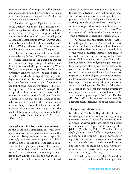users at the time of writing and half a million new adepts added daily, Facebook Inc. is a huge player in online advertising, with a 77% share in social network ads revenue.<sup>1</sup>

Another tech giant, Alphabet Inc., exposes the extent to which the digital market is vertically integrated. Created in 2015 following the restructuring of Google, it comprises subsidiaries active in the realm of artificial intelligence (DeepMind), autonomous driving (Waymo), the smart city (Sidewalk Labs), drone-based product delivery (Wing), alongside the company's core initial business, internet services (Google).

Platform monopolies can be seen as the present-day equivalent of Western news agencies, widely criticized in the MacBride Report for their role in perpetuating cultural domination and technological dependence on the West. Platform monopolies jeopardize pluralism in ownership (and worldviews) as anticipated already by the MacBride Report. Not only is today's tech and media industry characterized by a troublesome concentration of power in a handful of quasi-monopolist players – it is also the expression of Silicon Valley "ideology". The competitive advantage of platform monopolies echoes the worries of the MacBride Commission, which noted that "[a]s the amount of capital investment required in the communication industry rises, the control of financing and the provision of equipment tends to pass into the hands of large-scale enterprises since only they are able to raise the capital needed" (MacBride, 1980, p. 106).

#### **Unequal access to infrastructure and content**

As the MacBride Commission observed, developing countries often find themselves on the losing end. Today Western industry capital increasingly intervenes to make up for the inability of developing countries to provide critical infrastructure like high-speed internet. For example, Loom, a subsidiary of Alphabet Inc. active until early 2021, was tasked with developing and marketing high-altitude balloons to bring the internet to the next billion users. But the distorted

effects of industry concentration extend to users themselves, affecting their online experience. The controversial case of zero-rating or free data products offered in developing economies are a working example of the problem. Offering consumers a stripped-down version of its services at no cost, the zero-rating service Facebook Zero was accused of confining the Indian poor to a "walled garden" of its choosing (Prasad, 2017).

Concerns over the digital divide – that is to say, the gulf between the "haves" and the "have nots" in the digital revolution – have lost traction since the 1990s, despite nowadays only 51% of the world population enjoying some form of access to the Internet according to the International Telecommunication Union.2 The market has been tasked with bridging the gap, with platform companies offering corrective measures to correct the imbalance – as shown by zero-rating services. Unfortunately, the market imperative together with technological determinism permeate the discourse on development to this day and have replaced concerns regarding inequality in access. Technology, now like then, is "theorized as a sort of moral force that would operate by creating an ethics of innovation, yield, and result," as denounced by anthropologist Arturo Escobar (Escobar, 1995, p. 36) – obscuring the need for adequate policy interventions at the global level.

#### **The grassroots fights back**

In 1980, the MacBride Report called for democratizing communications and strengthening alternative voices. It identified communication as a basic individual right, advocating for a "right to communicate" as "a prerequisite to many other [rights]" (MacBride, 1980, p. 253). Despite today's gloomy state of affairs, organized civil society has not given up its role of advocate for equality and fairness in communication. We can distinguish three strands of mobilization and activism: the fight for digital rights, the creation of alternatives, and the promotion of awareness and digital literacy.

Digital rights – or the adaptation and extension to the digital realm of human rights like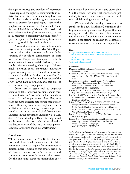the right to privacy and freedom of expression – have replaced the right to communicate in activist discourse. To be sure, something has been lost in the translation of the right to communication to present-day digital rights – namely the emphasis on autonomy from the market. Nonetheless, digital rights activists mobilize to defend users' privacy against platform snooping, to ban facial recognition technology in public space,<sup>3</sup> to gain the support of the tech industry to advance human rights globally – and much more.

A second strand of activism follows more closely in the footsteps of the MacBride Report, creating alternative software tools and infrastructure for people to communicate on their own terms. Progressive developers give birth to alternatives to commercial platforms, for example privacy-preserving chat apps. Unfortunately, however, social movements nowadays appear to have given in to the critical mass that commercial social media alone can mobilize. As a result, many independent media projects of the 1990s-2000s have capitulated, and this type of activism is no longer so popular.

Other activists again seek to empower citizens to take informed decisions about their communicative actions online, educating them about risks and opportunities alike. They may teach people to generate data to support advocacy efforts. They may train human rights defenders in digital security, or engage in artistic projects aimed at nurturing technological "counter-imaginaries" in the population (Kazansky & Milan, 2021). Others develop software to help social media users to reflect on their "information diet" and become aware of the ways in which personalization algorithms shape our worldviews.4

#### **Conclusion**

While memories of the MacBride Commission might have faded among activists for fairer communications, its legacy for contemporary digital culture is visible to this day. Its criticism of distorted market forces in the media and communications sector is dramatically current. On the one hand, platform monopolies enjoy

an unrivalled power over users and states alike. On the other, technological innovations potentially introduce new reasons to worry – think of artificial intelligence technology.

Without a doubt, our digital ecosystem urgently needs a new MacBride Commission able to produce a comprehensive critique of the state of play, and to identify corrective policy measures and directions for activists and practitioners to follow in the attempt to reclaim the central role of communications for human development.

#### **Notes**

- 1.<https://financesonline.com/facebook-statistics/>
- 2. [https://www.itu.int/en/ITU-D/Statistics/Pages/stat/default.](https://www.itu.int/en/ITU-D/Statistics/Pages/stat/default.aspx) [aspx](https://www.itu.int/en/ITU-D/Statistics/Pages/stat/default.aspx)
- 3.<https://reclaimyourface.eu>
- 4. <https://tracking.exposed>

#### **References**

- Diamond, L. (2010). Liberation Technology. Journal of Democracy, 3, 69–83.
- Escobar, A. (1995). Encountering Development: The Making and Unmaking of the Third World. Princeton University Press.
- Kazansky, B., & Milan, S. (2021). Bodies Not Templates: Contesting Mainstream Algorithmic Imaginaries. New Media & Society, 23(2), 363–381. https://doi. org/10.1177/1461444820929316
- Kitchin, R. (2021). The Data Revolution: A critical analysis of big data, open data and data infrastructures. Sage.
- MacBride, S. (1980). Many Voices, One World. Report of the International Commission for the Study of Communication Problems. UNESCO.
- Milan, S., Treré, E., & Masiero, S. (2021). COVID-19 from the Margins: Pandemic Invisibilities, Policies and Resistance in the Datafied Society. Institute of Network Cultures. https://networkcultures.org/wp-content/uploads/2021/02/ Covid19FromTheMargins-1.pdf
- Pariser, E. (2011). The filter bubble: What the Internet is hiding from you. Penguin.
- Prasad, R. (2017). Ascendant India, digital India: How net neutrality advocates defeated Facebook's Free Basics. Media, Culture & Society, 40(3), 415–431. https://doi. org/10.1177/0163443717736117

Stefania Milan [\(stefaniamilan.net\)](http://stefaniamilan.net) is Associate Professor of New Media and Digital Culture at University of Amsterdam. Her work explores the interplay between digital technology, activism and governance. Stefania is the Principal Investigator of the project DATACTIVE ([data-activism.net](https://www.westminsterpapers.org/articles/10.16997/wpcc.313/data-activism.net)) and "Citizenship and standard-setting in digital networks" (in-sight.it), funded by the European Research Council and the Dutch Research Council. She is the author of *Social Movements and Their Technologies: Wiring Social Change* (Palgrave Macmillan, 2013/2016), co-author of *Media/Society* (Sage, 2011), and co-editor of *COVID-19 from the Margins. Pandemic Invisibilities, Policies and Resistance in the Datafied Society* (Institute of Network Cultures, 2021).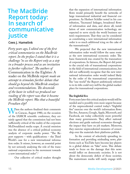### <span id="page-14-0"></span>**The MacBride Report today: In search of communicative justice**

#### **Cees J. Hamelink**

*Forty years ago, I edited one of the first critical commentaries on the MacBride report. In the preface I stated that it is a challenge "to see the Report only as a step in a broader process and as an invitation to further reflection". The authors of*  Communication in the Eighties: A reader on the McBride report *made an attempt to stimulate further debate that should go beyond the MacBride analyses and recommendations. The downside of the haste in which we produced our reading of the report was that it became the McBride report. Was that a beautiful Freudian slip?*

When the authors finalized their comments in Caracas, August 1980, on the occasion of the IAMCR scientific conference, they certainly agreed that the commission had not been sufficiently critical of the reality of the corporate McDonaldized media scape. A crucial omission was the absence of a critical political economy analysis of corporate media power. "The Report supports – with qualifications – the Third World's case for a new international information order. It misses, however, an essential point by not seriously analysing the role of the transnational corporations in the movement towards a new international order".1

Our collective of critical readers thought

that the expansion of international information flows would primarily benefit the networks of large transnational industrial and financial corporations. As Herbert Schiller noted in his contribution, "Increased linkages, broadened flows of information and data, and above all, installation of new communication technology, are expected to serve nicely the world business system's requirements. That they can be considered as constituting a new international information order is so much additional icing on the cake of the transnationals."

We projected that the new international information order would follow the same route as the new international economic order. The basic framework was created by the transnational corporations. In fairness, the Report did point to the crucial role of transnational corporations in the field of international communications, but did not sufficiently recognise that the new international information order would indeed likely be the order of the transnational corporations. The "one world" the Report ambitiously referred to in its title could very well be the global marketplace for transnational corporations.

#### **The frightful five**

Forty years later this critical analysis would still be needed and is possibly even more urgent because of the unprecedented control today's "frightful five" exercise over the world's information flows. The five, Amazon, Google, Apple, Microsoft, and Facebook, are today collectively more powerful than many governments. They affect national elections and guide national economies through the impact they have on job markets. Moreover, they exercise unprecedented measures of censorship over the materials their platforms publish.

In the context of selectively spreading information and providing misleading news, platforms such as YouTube have become key players in a global debate on "fake" news. This debate tends to focus on the damage that this news would inflict on democratic societies. It is not about the democratic deficit of those societies. The mainstream media will rarely engage with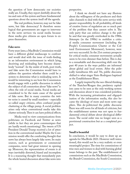the question of how democratic our societies really are. Usually, they report dutifully about the ins and outs of the system and leave fundamental questions about the system itself off the agenda.

The real problem, however, may not be fake news, but fake democracy! It therefore seems logical that governments are eager to intervene in the news services via social media because these media give citizens an open forum to express themselves.

#### **Fake news**

Forty years later, a MacBride Commission would have a different global mediascape to confront and would deal with the issue of truth-finding in an information environment in which lying, deceiving and misleading have become shamelessly "normal". In the midst of truth, post-truth, and fake news the Commission would have to address the question whether there could be a system to determine what is misleading news. It would be interesting to see how the Commission would engage with a public discussion in which the subject of all commotion about "fake news" is often the role of social media. Social media are considered to be the main cause of the spread of fake news. But in many countries the twitter noise is caused by small numbers – especially so-called angry citizens, often confused people chattering at the village pump. A social problem arises only when conventional media take this chatter seriously. Then it can have political effects.

Media tend to view communications from politicians on Facebook and Twitter as news (while in fact they are press communiques that are hardly worth mentioning). The tweets of US President Donald Trump received a lot of attention in the conventional media! Maybe the Commission would offer the comforting thought that news has always been largely fake news. Its main sources, such as governments or commercial companies, never had great interest in opening up. Moreover, the representation of events is always inevitably distorted, biased and incomplete. It is a reassuring thought that immediately puts the whole heated discussion about fake news into

perspective.

I think we should not have any illusions about the willingness of the producers and their sales channels to deal with the news service with greater responsibility. In all probability, all kinds of creative forms of regulation are so much part of the problem that they cannot solve it. The only party that can enforce change is the public and that was greatly overlooked in the 1980s. Attempts (in the 1990s) to mobilize a critical media consumer movement (including the People's Communication Charter or the Cultural Environment Movement), however, were not very successful. In the 21st century prospects for critical media consumer movements actually seem to be even slimmer than before. This is due to a remarkable and disconcerting shift over the past 40 years in the ways publics are informed about global and local events. After the politically tumultuous 60s and 70s, public discourse shifted to what singer Sixto Rodriguez baptized as the Establishment Blues.

Largely inspired by the neo-liberal thinking of the Thatcher/Reagan duo, predatory capitalism came to be seen as the only working system and discussion about it was considered pointless. With the increasing privatization and oligopolization of the information media, this also became the ideology of more and more news suppliers. This de-politicized the public discourse. There was still room for all kinds of criticism, but the establishment system was not open to fundamental critical debate about ideological differences. The social order was no longer seen as a provisional construction but as a completed project.

#### **Small is beautiful**

In conclusion, it would be easy to draw up an agenda for MacBride 2021. However well-intentioned, this would not be a very realistic or even meaningful project. The time for commissions of wise men and women to deal with burning global issues belongs to the past. The establishment of commissions such as the MacBride Commission, the Brandt Commission, the South Commission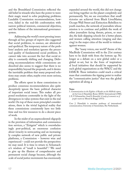and the Brundtland Commission reflected the old belief in wizards who have the power to wave their magic wand to solve perplexing problems. Laudable Commission recommendations, however, failed in the real-life confrontation with narrow political interests, commercial objectives, and the failures of the international governance system.

Addressing the world's most pressing issues through ad hoc groups of experts also suggested that social problems, in essence, are ahistorical and apolitical. The temporary nature of the problems' analysis and resolution ignores the processual quality of fundamental social problems. It cannot take into account the fact that social reality is constantly shifting and changing. Delivering recommendations while commissions are dissolved also seems to suggest that there is no responsibility beyond the proposals, and it denies the inevitable problem that many proposed solutions may create other, maybe even more serious, problems.

The efforts spent in these commissions to produce consensus recommendations also quite deceptively ignore the basic political character of important social issues. This makes all proposed resolutions contestable in the light of the divergences in value systems that exist in the real world. On top of these more principled considerations, there is the trivial logistical reality that these commissions consistently have too little time and too few resources to do a decent piece of work.

In the midst of an unprecedented oligopoly in the provision of information and communication services, a "Zeitgeist" which is overwhelmingly post-political, an enormous confusion about veracity in newscasting and an increasingly complex network of new public and private platforms, a Commission – however wise and experienced – could not provide the perspectives we may need. It is time to return to Schumacher's wisdom of "small is beautiful".2 We need to give up the illusion of comprehensive and permanent social change because, although the scale of social justice movements has enormously

expanded around the world, this did not change our living together on the planet completely and permanently. Yet, we see everywhere that small victories are achieved from Black LivesMatter, Occupy Wall Street and Extinction Rebellion to youth marches, the network of journalists whose mission is to continue and publish the work of other journalists facing threats, prison, or murder, the kids skipping schools for a better planet, and women calling attention (singing and dancing) in the major cities of the world to violence against women.

The "many voices, one world" theme of the MacBride Commission will in the 21st century have to be dealt with from the bottom up. No longer as a debate on a new global order or a global re-set, but in the form of inspirational local initiatives that should be supported by such global organizations as the WACC and the IAMCR. These initiatives could reach a critical mass that constitutes the tipping point to realize the "communicative justice" that was the global aspiration all along.  $\blacksquare$ 

#### **Notes**

1. *Communication in the Eighties: A Reader on the McBride report*, ed. by Cees J. Hamelink. Rome: IDOC International (1980).

Cees J. Hamelink is emeritus professor of international communication, University of Amsterdam, The Netherlands.

<sup>2.</sup> E. F. Schumacher. *Small Is Beautiful. A study of economics as if people mattered.* Blond & Briggs (1973).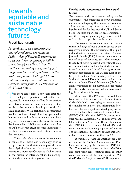### <span id="page-17-0"></span>**Towards equitable and sustainable technology futures**

#### **Preeti Raghunath**

*In April 2020, an announcement was splashed across the media in India – that of Facebook's investments in Jio Platforms, acquiring a 9.99% stake through an all-cash deal. Jio Platforms, owned by one of the biggest conglomerates in India, entered into this deal with Jaadhu Holdings LLC, an indirect, wholly owned subsidiary of Facebook, incorporated in Delaware, in the United States.*

This move came come a few years after the<br>technology corporation tried rather un-<br>successfully to implement its Free Basics version technology corporation tried rather unsuccessfully to implement its Free Basics version for Internet access in India, something that it had been able to put in place in parts of the African continent. With technology corporations like Facebook and Google doubling up as media houses today, and with governments now figuring out policy directions with respect to issues like intermediary liability, encryption, regulation of OTT platforms, etc, it becomes important to see these developments as continuities, as also in their contexts.

This article reflects on newer developments in the arena of media and technology policies and practices in South Asia and to place them in the analytical trajectories of what were landmark constitutive moments (Collier and Collier, 1991) in the history of international media development and communication governance.

#### **Divided world, concentrated media: A bit of history**

The post-war world was characterized by two developments – the emergence of newly independent states undergoing the process of decolonization, and an emergent world order that was bipolar and divided between the US and Soviet blocs. The first experience of decolonization is one that is arguably an ongoing process, which will be reflected upon later in the article.

The second development saw the concentration and usage of media entities, backed by the respective blocs, for the furthering of their political and national interests. For instance, Samarajiva and Shields (1990) have written about the role of myth of neutrality that often confronts the study of media policies, highlighting the role of communication and media studies scholars in working with the United States government, towards propaganda in the Middle East at the height of the Cold War. This story is true of the Soviet bloc as well. From the first experience, the rise of the Non-Aligned Movement (NAM) as an intervention in the bipolar world order, meant that the newly independent nations were asserting the need for a third way.

As a result, the 1970s saw the call for a New World Information and Communication Order (NWICO) intensifying, as a means to end the imbalances in news and information flows, between the developed and developing worlds. Tied to the New International Economic Order (NIEO) OF 1974, the NWICO conversations were heard at Algiers in 1973, Tunis in 1976, and later that year in New Delhi. The involvement of the UNESCO saw a deeply divided UN, with major powers withdrawing support and numerous international publishers against initiatives initiated under the rubric of the NWICO.

It was in 1977 that the International Commission for the Study of Communication Problems was set up, by the director of UNESCO. This Commission, chaired by Seán MacBride and comprising representatives from 15 other countries, submitted the final report in 1980, titled "Many Voices, One World". The report was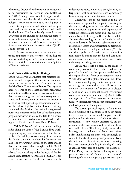oftentimes disowned and went out of print, only to be resuscitated by Rowman and Littlefield, in 2004. Among many notable things that the report stated was the idea that while new technology is welcome, to view it as an all-purpose vehicle to supersede social action and eclipse structural transformation would not bode well for the future. "The future largely depends on an awareness of the choices open, upon the balance of social forces and upon the conscious effort to promote optimum conditions for communication systems within and between nations" (1980: 33), the report said.

It is now imperative to draw out the continued importance and relevance of the Report, in a world dealing with AI, but also radio – in a time of multiple temporalities and a multiplicity of lived experiences.

#### **South Asia and its multiple offerings**

South Asia serves as a theatre that registers continuities and changes in the media development landscape, in line with the vision envisaged in the MacBride Commission Report. The region is home to some of the oldest linguistic traditions, oral cultures and histories, even as it is now the site that has seen the growth of technology corporations and home-grown businesses, in response to policies that opened up economies, allowing for the influx of global capital. Home to strong state media institutions, the region has registered numerous shifts since the days of modernization programmes, even as late as the late 1970s when community-based radio was introduced in the region by Danish broadcaster, Knud Ebbesen.

While Ebbesen's vision was about making radio along the lines of the Danish Tape workshop, during my conversations with him he described his inability to work along those lines in Sri Lanka, the country where he developed his idea. The overarching control of the state meant that the initiatives that brought in UNESCO and DANIDA had to reconcile with community (-based) radio working under the aegis of the Sri Lanka Broadcasting Corporation (SLBC). This is in contrast to the Nepalese experience with

independent radio, which was brought in by interpreting legal documents to allow community broadcasting in the mountainous country.

Meanwhile, the media sector in India saw numerous foreign media companies investing in the region, bringing with them what was to become quotidian exposure to and experience of watching international music and sitcoms, news channels and technologies. The 1990s and 2000s also saw a burgeoning and unregulated cable television industry in India, with cable operators almost ruling access and subscription to television. The Millennium Development Goals (MDGs) and the popularity of participatory communication methods meant that media and communication researchers were now working with media technologies at the grassroots.

Again, this could be seen in the realm of community radio in India, which led to the promulgation of the first policy guidelines in the region for this form of participatory media. While 2008 saw the global financial meltdown hit countries in a big way, India managed to deal with its growth rate rather safely. However, the country saw a marked shift in power in electoral politics, with a Hindu nationalist government coming to power with a huge majority in 2014, and again in 2019. This becomes an important turn for experiences with media technology and its development in the region.

The current political regime in India is one that is working at a confluence of policy trajectories – while, on the one hand, the government's preference for privatization of public entities and institutions is now widely understood, on the other, one also witnesses a call for atmanirbharta or self-reliance. This has typically meant that home-grown conglomerates have been given a free hand, riding on these only seemingly divergent strands of policy prescriptions, unifying them to create big entities, with wide-ranging business interests, including in the digital media space. The recent case of a member of Facebook's Public Policy team in India colluding with the present government's interests and Twitter's blocking of accounts opposing government poli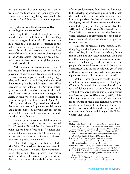cies and stances, has only opened up a can of worms on the functioning of technology corporations in a muscular regulatory state enabled by a majoritarian right-wing government in power.

#### **Post-globalisation? Pandemic, surveillance technologies, "openwashing"**

Connecting to this strand of thought is the current debate that has scholars and thinkers talking about a post-globalised world. Do we now live in a world that is seeing the resurgence of the nation-state? Strong governments elected along nationalist sentiments have come up in various parts of the world, even as we see a shift in power in the United States. This has only been exacerbated by what has been a near-global phenomenon: the pandemic.

With the onus on governments to control the spread of the pandemic, we have seen the deployment of surveillance technologies through contract-tracing apps, national healthy registries, health stack technologies, and widespread datafication (Couldry and Meijias, 2019). With advances in technologies like Artificial Intelligence, we see their unabated usage in the making of smart cities, for instance, in the region. In India, Mozilla wrote a scathing response to a government policy on the National Open Digital Ecosystem, calling it "openwashing", since the definition of access and openness was left vague and undefined, thereby allowing a lot of room for interpretation and implementation at the individual technologists' level.

Similarly, in the realm of datafication, we see policy moves in the form of the Personal Data Protection Bill and the Non-Personal Data policy report, both of which prefer nationalization of data, to a large extent. All these developments raise questions in the interest of *democratization* as a process and an ideal.

One of the biggest contributions of the MacBride Commission's Report has been its focus on decolonisation and democratisation – as an integral and internal process – one that is rooted in ideas of liberation and justice. While the Report examined these ideals in the context

of news production and flows from the developed to the developing world, and placed on the shelf the need for the latter to make its own media, it also emphasized the flow of news within the developing world. Recent works on the ideas around designing for the pluriverse (Escobar, 2018) and the plurality of the Souths (Milan and Trere, 2019) as sites even within the developed world, continued to emphasise the need for internal democratization, which is a progressive, ongoing process.

This can be translated into praxis, in the designing and development of technologies and their policies, in an inclusive fashion, bringing to light not only their implementation but also their making. Who has access to the spaces where technologies get codified? Who are the people who operationalise technologies and at which sites? Who are the people who get left out of these processes and are made to be passive recipients or, worse still, completely excluded?

Asking these questions would allow us to reflect on democratising newer technologies. When this is brought into conversation with the ideal of deliberation as an act of not only diagonal and two-way dialogue but also as a robust multi-vector process (Raghunath, 2020) of facilitating conversations, one is left with a vision for the future of media and technology developments for a pluriversal world, as one that draws on ideas of sustainability and equity for the future, and one that would bring to life "Many Voices, One World".

#### **References**

- Collier, R. B., & Collier, D. (1991). *Shaping the Political Arena: Critical Junctures, the Labor Movement, and Regime Dynamics in Latin America.* Princeton, NJ: Princeton University Press.
- Couldry, N & Mejias, U. (2019). *The Costs of Connection: How Data Is Colonizing Human Life and Appropriating It for Capitalism*. Stanford: Stanford University Press
- Escobar, A. (2017). *Designs for the Pluriverse: Radical Interdependence, Autonomy, and the Making of Worlds.*  Durham; London: Duke University Press.
- Milan S & Treré E. (2019) *Big Data from the South(s): Beyond Data Universalism. Television & New Media*, 20(4): 319-335.
- Raghunath, P. (2020). *Community Radio Policies in South Asia: A Deliberative Policy Ecology Approac*h. Singapore: Palgrave Macmillan.

Samarajiva, R., & Shields, P. (1990). "Integration, Telecommunication, and Development: Power in the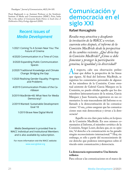<span id="page-20-0"></span>Paradigms." *Journal of Communication*, 40(3), 84–105.

Preeti Raghunath is an Assistant Professor at the Symbiosis Institute of Media and Communication (SIMC), Pune, India. She is the author of *Community Radio Policies in South Asia: A Deliberative Policy Ecology Approach* (2020).

### **Recent issues of** *Media Development*

1/2021 Coming To A Screen Near You: The Future of Cinema

4/2020 Communication in a Time of Crisis

3/2020 Expanding Public Communication Spaces

- 2/2020 Traditional Knowledge and Climate Change: Bridging the Gap
- 1/2020 Realising Gender Equality: Progress and Problems

4/2019 Communication Pirates of the Caribbean

3/2019 MacBride+40: What Next for Media Democracy?

2/2019 Wanted: Sustainable Development Goal 18

1/2019 Brave New Digital World

*Media Development* is provided free to WACC Individual and Institutional Members and is also available by subscription.

For more information visit the WACC website: [www.waccglobal.org](http://www.waccglobal.org)

### **Comunicación y democracia en el siglo XXI**

#### **Rafael Roncagliolo**

*Resulta muy atractiva y desafiante la invitación de la WACC a revisar, cuarenta años después, el informe de la Comisión MacBride desde la perspectiva de los cambios recientes. ¿Qué diría hoy la Comisión MacBride? ¿Cómo se debe fomentar y proteger la participación genuina, la igualdad y la diversidad?*

Al respecto, cabe una observación prelim-<br>
inar que define la perspectiva de las líneas<br>
que siguen Al final del Informe MacBride se inar que define la perspectiva de las líneas que siguen. Al final del Informe MacBride, se registran los comentarios personales de algunos de los miembros de la Comisión. Como eventual asistente de Gabriel García Márquez en la Comisión, no puedo olvidar aquello que los dos miembros latinoamericanos de la misma, García Márquez y Juan Somavía, registraron en sus comentarios: lo más trascendente del Informe es su llamado a la democratización de las comunicaciones.1 O sea, ¿cómo asegurar que las comunicaciones sean más democráticas y sirvan a la democracia?

Aquello no era claro para todos, en la época de la Comisión MacBride. En esos mismos comentarios al Informe, el miembro soviético de la Comisión, Sergei Losev, declara que, en su opinión, "el derecho a la comunicación no ha ganado ningún reconocimiento internacional."2 Hoy, sin embargo, es sólo a partir del reconocimiento de ese derecho que podemos interrogarnos sobre el vínculo entre comunicación y democracia.

#### **La democracia representativa: Una historia trifásica**

Para colocar a las comunicaciones en el marco de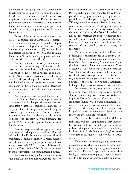la democracia, hay que partir de las condiciones de esta última. El ideal y el significado mismo de democracia desbordan ampliamente los propósitos y alcances de estas líneas. De manera, que nos limitaremos a los espacios y mecanismos democráticos de representación, que, por cierto, son sólo un aspecto, aunque no menor, de la vida democrática.

Bernard Manin, en un texto que ya es un clásico,<sup>3</sup> considera que la democracia representativa contemporánea ha pasado por tres etapas consecutivas, no excluyentes sino sumatorias: (1) la etapa del parlamentarismo; (2) la etapa de la "democracia de partidos", y (3) la que él llama democracia "de audiencia", que quizás sería mejor llamar "democracia mediática".

En este esquema trifásico, puede considerarse que, en la primera etapa, el escenario principal, aunque no exclusivo, de la representación, el lugar en el que se fija la agenda, es el parlamento: "El gobierno representativo moderno se establece sin partidos políticos organizados. Es más, los fundadores del gobierno representativo consideran la división en partidos o 'facciones' como una amenaza contra el sistema que estaban fundando."4

En la segunda fase, los partidos se convierten en intermediarios entre representantes y representados. En los partidos se deciden los candidatos y desde los partidos se manejan los congresos. Del voto por personas notables se pasa al voto por partidos, que enarbolan programas e intereses articulados. "La democracia de partido es el gobierno del activista y del burócrata del partido."5 Al mismo tiempo, se democratiza el derecho al voto.

En estas dos primeras fases la prensa escrita es un vehículo principal de expresión política, al lado de la calle. En la segunda, aparecen el local partidario, la célula política, y la radio, aunque esta última, en su origen juega un rol político menor. Sólo hacia 1933, cuando F.D. Roosevelt inicia sus "fireside chats", la radio se convierte en un medio importante de comunicación política.

En la tercera fase, que hemos denominado "mediática", los medios masivos, y, sobre todo, los

sets de televisión, pasan a cumplir un rol crucial. Por supuesto que siguen vigentes las calles, los partidos, los grupos de interés y de presión, los periódicos y la radio, pero de alguna manera la TV juega un rol primordial. Esto es lo que Giovanni Sartori denominó la "videopolítica", en un libro deslumbrante que apareció bastantes años después del Informe MacBride.6 La televisión, hay que recordarlo, se expande sólo después de la segunda guerra mundial; en los países de América Latina, recién en la segunda mitad de los años sesentas del siglo pasado; y, en otros países, aún más tarde.

En esta tercera fase, la vida política pasó a desplegarse principalmente en la arena de los medios. Ello ya se anuncia en la extendida combinación de "videopolítica" y "encuestocracia" que dominó y domina los eventos electorales. Y en el hecho de que, de vuelta al pasado, otra vez "los votantes tienden más a votar a la persona en vez de al partido o al programa."7 Tenía que ser así, pues se volvió a la percepción directa de los políticos, y puesto que, por su propia naturaleza, la TV privilegia a los rostros sobre los conceptos.

No desaparecieron, por cierto, las otras formas de hacer política. Las calles estuvieron siempre presentes y los medios no podían ser impermeables a lo que en ellas ocurría. Los sindicatos (aunque ya en franca declinación), las marchas contra la guerra en Vietnam, las tomas de tierra en diversos países, el movimiento por la igualdad racial y el movimiento feminista animaron los años de la videopolítica.

Pero los locales partidarios y las células de militantes políticos empezaron a desvanecerse. Las carreras políticas formales pasaron a desarrollarse principalmente a través de los medios; y la clásica función de "agenda-setting", se sobreconcentró en los medios, y, sobre todo, en la televisión

En este marco histórico, lo que se requería era democratizar el ejercicio de los derechos a informar y ser informados, para lograr una genuina democracia. Pero en la época del Informe Mac-Bride, el acento estaba puesto sobre la prensa escrita y las agencias internacionales de noticias.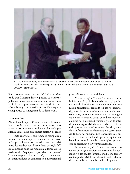

*El 22 de febrero de 1980, Amadou M'Bow (a la derecha) recibió el informe sobre problemas de comunicación de manos de Seán MacBride (a la izquierda), a quien más tarde confirió la Medalla de Plata de la UNESCO. Foto: UNESCO.*

Fue bastantes años después del Informe Macbride que Giovanni Sartori publicó su célebre y polémico libro, que señala a la televisión como vehículo del postpensamiento. Es decir, que afirma la muy controvertida afirmación de que la videopolítica es la negación de la democracia.

#### **La cuarta fase**

Ahora bien, lo que está ocurriendo en la actualidad permite pensar que estamos transitando a una cuarta fase en la evolución planteada por Manin: la fase de la democracia digital y de redes.

Esta cuarta fase, que tampoco reemplaza a las anteriores sino que se suma a ellas, se caracteriza por la interacción inmediata (no mediada) entre los ciudadanos. Desde fines del siglo XX las campañas políticas requieren, además de los tradicionales "equipos responsables de prensa", "equipos responsables de redes", para alimentar los intensos flujos de comunicación interpersonal

y retroalimentar a los candidatos.

Vivimos, según Manuel Castels, la era de la información y de la sociedad – red,<sup>8</sup> que "es un periodo histórico caracterizado por una revolución tecnológica centrada en las tecnologías digitales de información y comunicación, concomitante, pero no causante, con la emergencia de una estructura social en red, en todos los ámbitos de la actividad humana, y con la interdependencia global de dicha actividad (…) Como todo proceso de transformación histórica, la era de la información no determina un curso único de la historia humana. Sus consecuencias, sus características dependen del poder de quienes se benefician en cada una de las múltiples opciones que se presentan a la voluntad humana."9

Naturalmente, el término era invoca estadios de larga duración, en términos braudelianos,10 o las edades (antigua, media, moderna y contemporánea) de la escuela. Así, puede hablarse de la era de la escritura, la era de la imprenta o la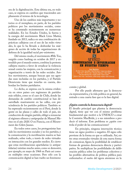era de la digitalización. Esta última era, en todo caso, se expresa en cambios que trascienden ampliamente el terreno de la tecnología.

Uno de los cambios más importantes y notorios es el reemplazo, en parte, de los partidos políticos por los movimientos sociales, como se ha constatado recientemente en numerosas realidades. En los Estados Unidos, la fuerza y la energía del movimiento Black Lives Matter, fundado en 2013, radica en una combinación de prácticas callejeras con el uso de las redes virtuales, lo que lo ha llevado a desbordar los márgenes de acción de todas las organizaciones de defensa de la igualdad racial pre-existentes.

Del mismo modo, el movimiento #Me Too, surgido como hashtag en octubre de 2017 y extendido por el mundo entero, combina la protesta callejera masiva a favor de erradicar la violencia sexual contra las mujeres, con la comunicación y organización a través de las redes sociales. Ambos movimientos, aunque buscan que sus agendas sean incluidas en los partidos, y el Partido Demócrata tiene que tenerlas en cuenta, desbordan los límites partidarios.

Lo dicho, se expresa con la misma evidencia en otros países con regímenes de partidos más sólidos, como es el caso de Chile, donde las demandas de cambio constitucional se han desarrollado masivamente en las calles, con prescindencia de los partidos políticos. También se ha expresado recientemente en el Perú, donde la gente en las plazas y calles de todo el país, sin conducción de ningún partido, obligó a renunciar al régimen efímero y antipopular de Manuel Merino en el año 2020. O en Francia, con el Mouvement des Gilets Jaunes.

En todos estos casos, los protagonistas han sido los movimientos sociales y no los partidos, y la comunicación y la movilización masiva se han realizado, sobre todo, a través de redes virtuales en interacción con los grandes medios. Es cierto que estas movilizaciones apartidarias (o antipartidarias) existían mucho antes, como se demostró, por ejemplo, en mayo de 1968 en París así como en múltiples otras ocasiones. Pero sólo con la comunicación digital se han vuelto un fenómeno



común y global.

Por ello puede afirmarse que la democracia representativa, y la vida política en general, ha entrado a una cuarta fase que es la fase digital.

#### **¿Quién controla la democracia digital?**

El desafío principal que plantea la democracia digital, tiene que ver con el mismo problema fundamental que motivó a la UNESCO a crear la Comisión MacBride, y a sus miembros a producir el informe. Este problema es ¿quién controla el poder de las comunicaciones?

En principio, ninguna innovación técnica tiene un signo positivo o negativo. El signo sólo proviene de la forma en que es utilizada. Así, entre otras eventuales virtudes de esta nueva forma de comunicar, figura la posibilidad de establecer formas de genuina democracia directa y participativa. Se multiplican las posibilidades de deliberación pública sobre los problemas colectivos y las posibles alternativas de política pública para enfrentarlos: el sueño del ágora ateniense en la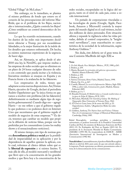"Global Village" de McLuhan.11

Sin embargo, en lo inmediato, se plantea el mismo problema de fondo que estuvo en el corazón de las preocupaciones del informe Mac-Bride, que es el problema de los flujos, nacionales e internacionales, ¿Quién controla los flujos? ¿Cómo establecer un control democrático de los mismos?

Lo que ha ocurrido recientemente, cuando los dueños de las redes más importantes decidieron silenciar a Trump, por sus escandalosas falsedades, es la mejor ilustración de la índole de los desafíos que estamos enfrentando. De hecho, ya existen numerosas expresiones de la urgencia de hacer algo.

Así, en Alemania, se aplica desde el año 2018 una ley, la NetzDG, que impone multas a las empresas de redes sociales que no eliminen en un plazo de 24 horas cualquier discurso de odio o con contenido que pueda incitar a la violencia. Iniciativas similares se ensayan en España y en Francia frente a la avalancha de las fakenews.

Los empresarios de redes, tienen que adaptarse a estas nuevas disposiciones. Así, Tristan Harris, ejecutivo de Google, declaró al periodista Andrés Oppeheimer que "la única forma en que vamos a resolver este problema [de las fakenews] definitivamente es mediante algún tipo de regulación gubernamental. Cuando digo eso – agregó Harris – no me refiero a que el gobierno regule lo que podemos o no podemos decir en Internet. Creo que necesitamos que el gobierno regule el modelo de negocios de estas empresas."12 Es decir, tenemos que cambiar un modelo que propicia la difusión de noticias falsas, porque son las preferidas por los consumidores (como los reality shows y el sensacionalismo noticioso).

Al mismo tiempo, este tipo de normas genera **desconfianza política y social** por la posibilidad de imparcialidad en su aplicación y por la dependencia de aquellos quienes la aplican, con lo cual, volvemos al clásico debate sobre qué es la **libertad de expresión** y si existen límites. Y, más allá de ello, al modelo mercantil y neoliberal que llevó ayer a la concentración de los grandes medios y que lleva hoy a la concentración de las

redes sociales, encapsuladas en la lógica del negocio, tanto en el nivel de cada país, como a escala internacional.

Un puñado de corporaciones vinculadas a las tecnologías de punta (Google, Apple, Facebook, Amazon y Microsoft) controla la mayor parte del mundo digital en el cual vivimos, incluidos millones de datos personales. Este situación afirma y expande la vigilancia sobre las vidas privadas, debida al control corporativo, la "heightened surveillance", cuya exacerbación es característica de la sociedad de la información, según Anthony Giddens.<sup>13</sup>

Sin duda, éste debería ser el gran tema de una Comisión MacBride del siglo XXI.

#### **Notas**

- 1. *Un Solo Mundo, Voces Multiples*. México, , FCE, 1980, p.263.
- 2. Ibidem, p. 259.
- 3. Manin, Bernard, *Los principios del gobierno representativo*. Madrid, Alianza Editorial, 1998.

- 5. Ibidem, p. 255.
- 6. Sartori, Giovanni, *Homo Videns*, Madrid, Taurus, 1998.
- 7. Manin, Op. Cit., p, 267.
- 8. Castells, Manuel, *La era de la Información*. México, Siglo XXI, 1996; y, sobre todo, *Comunicación y poder*, Madrid, Alianza Editorial, 2009.
- 9. Ibidem, ps. 6 y 7.
- 10. Braudel, Fernand, *El Mediterráneo y el mundo mediterráneo en la época de Felipe II.* México, FCE, 1953.
- 11. McLuhan, Marshall, T*he Gutenberg Galaxy: The Making of Typographic Man*, University of Toronto Press, 1962.
- 12. *El Comercio* Lima, lunes 24 de enero del 2021, p. 23: Oppenheimer, Andrés, "¿Regulará Joe Biden las redes sociales?
- 13. Giddens, Anthony, T*he Nation State and Violence*: Volume Two of a Contemporary Critique of Historical Materialisms, Cambridge, Polity, 1985.

Rafael Roncagliolo, sociólogo, periodista y catedrático universitario, es profesor honorario de la Pontificia Universidad Católica del Perú. Ex ministro de Relaciones Exteriores del Perú (2011-13). Ex Embajador del Perú en España (2015-16). Ex presidente de la Asociación Mundial de Radios Comunitarias (AMARC) (1995-98). Ex vicepresidente de IAMCR - AIERI (Asociación Internacional de Investigación en Medios y Comunicación) (1982-86).

**Nota del editor:** Lamentablemente, el profesor Rafael Roncagliolo falleció en abril de 2021, justo antes de que este artículo saliera a la imprenta. Puede representar sus últimos pensamientos sobre el tema de la democratización de las comunicaciones.

<sup>4.</sup> Ibidem, p. 238.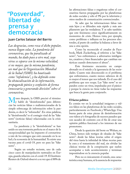### <span id="page-25-0"></span>**"Posverdad", libertad de prensa y democracia**

#### **Juan Carlos Salazar del Barrio**

*Las desgracias, como reza el dicho popular, nunca llegan solas. La pandemia del coronavirus, que ha paralizado al mundo, ha dado paso a otro mal, cuyo virus se esparce con la misma velocidad, si no mayor, que la misma pandemia, un mal que la Organización Mundial de la Salud (OMS) ha bautizado como "infodemia", y ha definido como "la obstaculización de la información, propagando pánico y confusión de forma innecesaria y generando división" sobre el coronavirus.* 

Meses después, la OMS precisó el término<br>
y habló de "desinfomedia" para diferen-<br>
ciar las noticias falsas o malintencionadas de la y habló de "desinfomedia" para diferenciar las noticias falsas o malintencionadas de la simple sobrecarga de información sobre la pandemia, es decir la "infomedia". En otras palabras, la "desinfomedia" es el contagio viral de las "fake news" (noticias falsas) relacionadas con la crisis sanitaria.

La pandemia y la "desinfodemia" se han unido en una tormenta perfecta en el marco de la excepcionalidad que ha impuesto el coronavirus a raíz de los estragos que está causando en la salud y la economía de la humanidad. Ya existe una vacuna para el covid-19, pero no para las "fake news".

Según un estudio reciente, uno de cada cinco casos de manipulación rastreados en Europa, guarda relación con el covid-19. El [Instituto](https://www.laestrella.com.pa/reutersinstitute.politics.ox.ac.uk/types-sources-and-claims-covid-19-misinformation)  [Reuters de Oxford](https://www.laestrella.com.pa/reutersinstitute.politics.ox.ac.uk/types-sources-and-claims-covid-19-misinformation) observó a su vez que el 88% de

las afirmaciones falsas o engañosas sobre el coronavirus fueron propagadas por las plataformas de redes sociales y sólo el 9% por la televisión y otros medios de comunicación convencionales.

Se sabe que las informaciones falsas van más lejos y se difunden más rápido y más ampliamente que las verdaderas. Y se sabe también que este fenómeno crece significativamente en momentos de crisis. Hemos visto, por ejemplo, como proliferan e influyen en los procesos electorales, al punto de cambiar la balanza a favor de una u otra opción.

Como ha reconocido el creador de Facebook, Mark Zuckerberg, al referirse a las "fake news", "nos enfrentamos a adversarios inteligentes, creativos y bien financiados que cambian sus tácticas cuando detectamos el abuso".

Este fenómeno encuentra un campo abonado en el miedo y la ignorancia de las sociedades. Cuanto más desconocido es el problema que enfrentamos, cuanto menos sabemos de él, es mayor el temor que nos infunde. Es el caso del problema que nos ocupa. Las "fake news" se expanden como un virus, impulsadas por el pánico y porque la ciencia no tiene todas las respuestas que busca la gente para conjurarlo.

#### **El factor político**

Es común ver en la actualidad imágenes y videos falsos en las plataformas de las redes sociales, particularmente en Facebook y WhatsApp. Una buena parte de estas piezas de desinformación son videos y/o fotografías de sucesos pasados que son sacados de contexto con el fin de crear una opinión pública funcional a los intereses de sus promotores.

Desde la aparición del brote en Wuhan, en China, hemos sido testigos de oleadas de "fake news": desde las falsas teorías sobre el origen del virus hasta la infinidad de falsas recetas para la cura y el tratamiento del mal, sin olvidar las clásicas teorías de la conspiración que suelen acompañar a todo acontecimiento y terminan imponiéndose en la creencia popular.

Pero no es únicamente el miedo, una característica muy humana, ni la ausencia de respuestas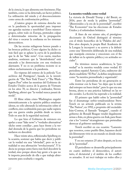de la ciencia, lo que alimenta este fenómeno. Hay también, como se ha detectado, un factor político. La utilización del miedo y el desconocimiento como arma de confrontación política.

¿Cuántos grupos de extrema derecha ven en la pandemia la oportunidad para imponer sus agendas racistas y xenófobas? Estos mismos grupos, sobre todo en Europa, pretenden culpar a determinadas minorías de la propagación del virus o socavar la confianza en los sistemas democráticos.

De las recetas milagrosas hemos pasado a las broncas políticas. Como alguien ha dicho: es más fácil que se aplane la curva de la pandemia que la de las "fake news". Con razón, muchos analistas, sostienen que la "desinfodemia" está atacando a las democracias con una virulencia alarmante. Y no es un problema reciente ni se refiere exclusivamente a la pandemia.

En vísperas del estreno de la película "Los archivos del Pentágono", basada en la investigación de "The New York Times" y "The Washington Post" sobre las mentiras del Gobierno de Estados Unidos acerca de la guerra de Vietnam en los años 70, su director y realizador, Steven Spielberg, afirmó que "la verdad nunca pasará de moda".

El filme relata cómo Washington engañó sistemáticamente a la opinión pública estadounidense, no sólo alterando la información sobre el conflicto, sino ocultándola para que nadie supiera que esa guerra estaba perdida desde su inicio. Todo en aras de la seguridad nacional.

Lo que hizo el Gobierno de entonces era apelar a unas "fake news" o "verdades alternativas" -dicho entre comillas-, para hace frente a la verdad desnuda de la guerra que los periodistas no tardaron en descubrir.

Hace veinte años, reflexionaba Spielberg en la ocasión, sostener que había que decir y publicar la verdad era una "obviedad", pero en la actualidad es una afirmación "revolucionaria". Y lo decía no porque antes fuera más fácil descubrir la verdad, sino porque ahora hay gente a la que no le importa prescindir de ella o que trabaja abiertamente para ocultarla o negarla.

#### **La mentira vendida como verdad**

La victoria de Donald Trump y del Brexit, en 2016, puso de moda la palabra "posverdad". "¡Bienvenidos a la era de la posverdad!", escribió "The Economist" tras las elecciones de Estados Unidos y el referéndum británico.

A fines de ese mismo año, el prestigioso diccionario de Oxford distinguió al término con el título honorífico de la "Palabra del año". Dos años después, la propia Real Academia de la Lengua la incorporó a su acervo y la definió como una "distorsión deliberada de una realidad, que manipula creencias y emociones con el fin de influir en la opinión pública y en actitudes sociales".

En términos menos académicos, la "posverdad" es la mentira vendida como verdad. El periodista español Antonio Caño, exdirector del diario madrileño "El País", la define simplemente como "la mentira premeditada y organizada".

Entre los periodistas de mi generación se solía ironizar con la frase: "no dejes que la realidad estropee un buen titular", pero lo que era una broma, ahora es una práctica habitual en las redes sociales. La ficción ha superado a la realidad.

El primero que habló sobre la "posverdad" fue el dramaturgo serbio-estadounidense Steve Tesich en un artículo publicado en la revista "The Nation", en 1992, a propósito del escándalo Irán-Contras, el llamado "Irangate", cuando el gobierno de Ronald Reagan vendió ilegalmente armas a Irán, en plena guerra con Irak, para financiar a los "contras" nicaragüenses que pretendían derrocar al gobierno sandinista.

Tesich escribió en esa ocasión: "Lamento que nosotros, como pueblo libre, hayamos decidido libremente vivir en un mundo en donde reina la posverdad".

Y en eso estamos 25 años después, en la era de la "posverdad".

El periodismo se desarrolla principalmente en cuatro ámbitos: el democrático, el autoritario, el dictatorial y el ámbito de los conflictos armados. A mi tocó trabajar en todos ellos y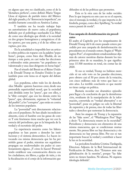en alguno que otro no clasificado, como el de la "dictadura perfecta", como definió Mario Vargas Llosa al régimen de partido único del México del siglo pasado, y la "democracia imperfecta", un modelo bastante conocido en América Latina.

Y también me ha tocado trabajar bajo un autoritarismo de nuevo cuño, el populismo, definido por el politólogo neerlandés Cas Mudde como una ideología que divide a la sociedad en dos grupos homogéneos y antagónicos: el de los «puros», por una parte, y el de las «élites corruptas», por otra.

En la actualidad es imposible leer un artículo sobre política sin toparse con la palabra "populismo", porque, como bien dice Mudde, de un tiempo a esta parte, en casi todas las elecciones y referendos están presentes "un populismo envalentonado y una clase dirigente en horas bajas".

Fue el triunfo del Brexit en el Reino Unido y de Donald Trump en Estados Unidos lo que también puso este tema en el tapete del debate global.

Los populistas, sobre todo los de derecha -dice Mudde- quieren hacernos creer, desde una pretendida superioridad moral, que la sociedad está dividida entre los "puros", que son ellos, y la "élite corrupta", que son los demás; entre los "puros", que, obviamente, expresan la "voluntad del pueblo"; y los "corruptos", que están en contra de los intereses populares.

La "posverdad" está directamente relacionada con el populismo. Se han aliado incondicionalmente, como el hambre con las ganas de comer. Y este fenómeno tiene mucho que ver con la esencia del periodismo, que es la búsqueda de la verdad y el escrutinio del poder.

La experiencia muestra como los líderes populistas se han puesto a demoler las instituciones y el sistema democrático. Lo hacen invocando esa misma democracia que les ha permitido ganar el poder, mientras sus seguidores propagan sus seudoverdades sin pudor ni cuestionamiento alguno. ¿Y cómo lo hacen? Pretendiendo establecer una comunicación directa con los ciudadanos, sin filtros, a golpe de tuits, y sin la fiscalización ni el cotejo de la información que

difunden ni de las políticas que prometen.

Esta es la otra cara de las redes sociales. Pero lo que importa en este caso no es el soporte, sino el mensaje, la verdad, y lo que importa es defenderla, porque, como dice Spielberg, "la verdad nunca pasará de moda".

#### **Una campaña de desinformación sin precedentes**

El asalto al Capitolio por los simpatizantes de Donald Trump del 6 de enero pasado estuvo precedido por una campaña de desinformación sin precedentes en el mundo entero. Según el *"*Washington Post", el expresidente estadounidense dijo más de catorce mentiras diarias durante los tres primeros años de su mandato, lo que significa unas 15.500 mentiras en total, sin contar las de 2020.

Si eso es verdad, Trump no hubiese merecido ni un solo voto en las pasadas elecciones, pero obtuvo casi el 50 por ciento de la votación, con cinco millones más de votos que hace cuatro años. La terrible conclusión es que mentir no tiene castigo en política.

Bastaría recordar ese dramático episodio para llegar a la conclusión de que la desinformación, resultante de la manipulación de la información, convertida en "verdad alternativa" o en "posverdad", pone en peligro no solo la libertad de expresión y de prensa, sino de todas las libertades y derechos que sustentan la democracia.

Ante los ataques de Trump y la expansión de las "fake news", el "Washington Post" llegó a decir: "La democracia muere en la oscuridad". Periodismo y democracia son elementos de una misma mancuerna, que se condicionan mutuamente. Sin prensa libre no hay democracia y sin democracia no hay prensa libre. Por eso es tan importante buscar la verdad y contribuir a hacer la luz en la oscuridad.

La periodista brasileña [Cristina Tardáguila,](https://twitter.com/ctardaguila) Directora Adjunta de la Red Internacional de Verificación de Datos, dice: "Estamos ante una globalización de la mentira", porque "las fake news no tienen bandera. Ni idioma. Ni siquiera ideología definida".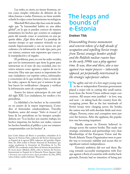<span id="page-28-0"></span>Las redes, es cierto, no tienen fronteras, sirven como simples vehículos de difusión de las ideas, buenas o malas. Entonces, no tiene sentido echarle la culpa a estas herramientas tecnológicas.

Marshall McLuhan dijo hace más de medio siglo que "la humanidad habita en una aldea global", en la que se pueden conocer de manera instantánea los hechos que ocurren en cualquier parte del mundo como si ocurrieran en una pequeña aldea. ¿Qué diría ahora? La paradoja de nuestro tiempo es que estamos viviendo en un mundo hiperconectado y con un acceso sin precedentes a la información de todo tipo, pero, por eso mismo, estamos más expuestos que nunca a la manipulación y al engaño.

El problema, pues, no son las redes sociales, que son los instrumentos que tiene la gente para interactuar en el seno de una sociedad, sino nosotros mismos como agentes y sujetos de esa interacción. Hoy más que nunca es importante formar ciudadanos con espíritu crítico, informados y conscientes de lo que reciben y leen a través de las redes, capaces de hacer por sí mismos lo que hoy hacen los verificadores: chequear y verificar la información antes de compartirla.

Somos los únicos anticuerpos de este mal del siglo XXI. Los ciudadanos, los medios y los periodistas.

La fidelidad a los hechos se ha convertido en un asunto de la mayor importancia. Como dice el historiador estadounidense, Timothy Snyderm, autor del ensayo "*Sobre la tiranía"*, el lema de los periodistas en los tiempos actuales debería ser: "Los hechos son nuestro trabajo, los hechos importan, los hechos son reales, conocer los hechos beneficia al público y por eso estamos comprometidos con los hechos".

### **The leaps and bounds of e-Estonia**

#### **Eneken Tikk**

*Disassembling bronze monuments and concrete tokens of a half-decade of occupation and expelling Soviet troops from Tartu's strategic bomber airfield and the Paldiski nuclear reactor base in the early 1990s was a play against time. It was, then and there, also a race against two major powers – inherently opposed, yet perpetually intertwined in the strategic superpower culture.*

The agility and wit of a few angry young men<br>in the re-independent Estonian government<br>played a major role in cutting this small nation in the re-independent Estonian government played a major role in cutting this small nation loose from the Soviet Union without major concessions. All means were justified – in love, war, and now – in taking back the country from the occupying power. But as the last trainloads of Soviet troops were clanging across the border, the nation was left with desolate fields and riven villages. Poverty, crime and corruption were just over the horizon. After the applause, the population was becoming impatient.

Hardly anyone in Estonia believed in change across the eastern border. This made our strategic orientation and partnerships very clear. Memberships of the European Union and the North Atlantic Treaty Organization were to pave the way to economic stability and secure this insignificant nation's independence.

Estonia's ambition did not end there. Racing towards successful reintegration with Europe against a flock of countries with similar backgrounds, Estonia had no intention of being just

Juan Carlos Salazar del Barrio es periodista, cofundador de la Agencia de Noticias Fides, exdirector del Servicio Internacional en Español de la agencia DPA, exdirector del periódico Página Siete. En 2016 recibió el Premio Nacional de Periodismo que otorga anualmente la Asociación de Periodistas de La Paz (APLP). Ha coordinado sendos libros de historia del periodismo: *De buena fuente* (Madrid, 2010), sobre la historia del Servicio Internacional en Español de la Deutsche Presse-Agentur (dpa), y *Presencia, una escuela de ética y bueno periodismo* (La Paz, 2019), sobre el diario católico boliviano "Presencia".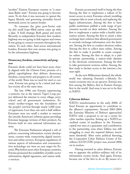"another" Eastern European country or "a mundane Baltic state". Estonia was going to become more. To do that, it was necessary to uproot the legacy lifestyle and governing mentality forced westwards across its eastern border.

To outsmart the grim post-Soviet reality, this small hope-filled nation came up with a plan. A bold strategy. Both grand and novel. Recently re-independent Estonia's first modern highway was not going to link regions and towns. It was going to connect everyone throughout the nation. To each other. And across international borders. Estonia's first new avenue was going to be the information highway.

#### **Democracy, freedom, connectivity and progress**

Estonia's ideals could not have been more closely aligned with the Clinton-Gore promise of a global superhighway that delivers democracy, freedom, connectivity and progress to all corners of the world. There was no need for steel or concrete. Estonia was going to be a wired and wireless society all at the same time.

The late 1990s saw Estonia experiencing a meteoric rise as the nation's Tiger's Leap project delivered the internet to every village, every school and all government institutions. Estonia's mother-tongue was the foundation of the people's survival through nearly 1,000 years of oppression. Less than one-and-a-half million Estonians were too small a market to warrant the (mostly American) software giants providing Estonian language versions of their products. So, Estonia built its own national information systems.

The Estonian Parliament adopted a raft of policies concerning information society development, country-wide connectivity, digital innovation and online services. European regulations of various aspects of information and communication technology use were an easy target for Estonia. Way before most other European countries, Estonia pioneered the availability of public sector information, digital signatures, and nation-wide e-services.

Estonia accustomed itself to being the first. Among the first to implement a rollout of Internet access to every Estonian school, installing computer labs in most schools, and replacing the legacy infrastructure. Among the first to have public institutions publish a wide range of government records on their websites. Among the first to implement a nation-wide e-health information system. Among the first to create a data exchange layer solution that allowed government to securely exchange information over the Internet. Among the first to conduct elections online. Among the first to collect taxes online. Among the first to make it possible to create companies online. Among the first to adopt, in a public-private partnership, a nation-wide identity in the electronic environment. Among the first to take government sessions online. Among the first ready to declare access to the internet a human right.

As the new Millennium dawned, the whole world was admiring Estonia's e-lifestyle. Estonia's economy was on an upcurve. Estonia was first among the Baltics, first in Eastern Europe, first in the world. And now, it was set to be first in NATO.

#### **Cyberwar defence**

NATO's transformation in the early 2000s offered Estonia an opportunity to contribute to the alliance's superpowers. Around 2003-2004, the Estonian Ministry of Defence approached NATO with a proposal to set up a centre for cyber warfare expertise. Setting up a NATO-accredited centre of excellence in the Estonian capital was seen as a guarantee and contribution to the partnership, even when Tallinn was still struggling to meet the required defence investment threshold. After some political finessing, the Cooperative Cyber Defence Centre of Excellence (CCD COE) project was, around 2006, set in motion.

Having invested in cyber defence, Estonia was to appraise the politico-military risk of its information society stocks. And again, Estonia became one of the first to do so. By means of a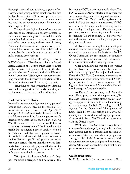thorough series of consultations, a group of researchers and young officers established the first bridges between the ICT-infused private sector, information society-oriented government entities and the rather cyber-distant Estonian defence organization.

The word pair "cyber defence" was not an easy sell to an information society invested in societal and economic growth. Indeed, Estonia's cybercrime indicators were of no major concern and information society indices were all rising. Even a hint of securitization was met with resistance and distrust on the part of the public bodies responsible for the information society and its infrastructure development.

It was a hard sell to the allies, too. For a NATO Centre of Excellence to be established, Estonia needed at least two other allies to invest in the initiative. Yet nobody believed in the danger of a cyberwar. Moreover, in the UN Disarmament Committee, Washington was busy convincing the world that Moscow's predictions of the threat of hostile uses of ICTs were just a myth.

Struggling to find sympathizers, Estonia was to find support to its newly found cyber aspirations from the most unlikely direction.

#### **Hackers and service denial**

Ironically, or: conveniently, a remaining piece of bronze and concrete became the token of Estonia's rise to cyber power. In late April 2007, high political tension unfolded between Tallinn and Moscow around the Estonian government's decision to relocate the Bronze Soldier – a World War II memorial – from downtown Tallinn to a military cemetery out of the immediate city traffic. Russia-aligned patriotic hackers cloaked in Estonian websites and apparently Kremlin-backed coordinated denial-of-service attacks against Estonian public and private web services over a period of more than three weeks demonstrated how devastating cyber-attacks can be against societies deeply dependent on their ICT infrastructure and online services.

With just this glimpse of what could happen, the world's perception and narrative of the

Internet and ICTs was turned upside-down. The NATO CCD COE was started not by three but seven sponsoring states. Coming out as a winner from the Web War One, Estonia, digitized to the teeth, had just thwarted a major power. NATO was now set to adopt its first-ever cyber defence policy. Developments in Estonia and, one year later, events in Georgia, were also factors in changing US cyber policy. As cyberwar was out in the open, there was no longer any point in denying the obvious.

As Estonia was among the first to adopt a national cybersecurity strategy and the Pentagon was making preparations for initiating the US Cyber Command, the international community was destined to face national trials between information society and security apparatus.

Once again, Estonia was the best student in the classroom. Estonia suddenly found itself in the company of the major allied powers. From the UN First Committee discussions to EU digital and cyber policy reforms and NATO cyber policies to world-wide capacity building and Security Council Membership, Estonia faced a surge in fame and visibility.

As Estonia's success grew, so did its ambitions. To keep up with all the opportunities, Estonia has taken a pragmatic, almost project-managerial approach to international affairs: setting up a cyber range for NATO, hosting the EU's Agency for the Operational Management of Large-Scale IT Systems, setting up its own military cyber command, and taking up operational responsibilities in NATO and in cooperation with the United States.

While the Estonian success story is next to impossible to disregard, it may be less evident how Estonia has been transformed through its own success. Once a poster child of progressive and agile all-inclusive information society with no concessions on human rights and online freedoms, Estonia has learned first-hand that online presence comes at a cost.

#### **Cracks at the seams**

In 2017, Estonia had to revoke almost half its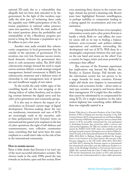national ID-cards due to a vulnerability that allegedly had not been duly attended to by the government. In the light of this incident, especially the slow pace of reclaiming these cards, the arguably near-100% participation of the Estonian population in national online presence came into question. In 2018, the state audits office raised questions about the profitability and sustainability of the e-Residency program projected to bring the Estonian e-population up to 10 million in just a few years.

Another state audit revealed that cybersecurity competency in local government that lay outside of the epicentre of government IT-innovation, was very low. Estonian success stories faced domestic criticism for government decisions to curb anonymity online. The 2019-2022 cybersecurity strategy stressed the need to repair serious systemic failures: a weak strategic integral management, limited investments in R&D, low cybersecurity awareness and a deficient sense of ownership in risk management, lack of specialists and insufficient supply of new talent.

To the world, the early visible signs of the crumbling façade are the now stopping or declining indices of online freedoms, and an alarming contrast between the digital savvy and less cyber-privy generations and community groups.

It is also easy to observe the impact of securitization on Estonia's current stage of digital development. Decision-making about the various instalments, investments and uses of ICTs are increasingly made at the executive, rather than parliamentary level. Estonia's views on international law gained new emphasis in the law of cyber operations, the right of self-defence and countermeasures, even collective countermeasures, something that had never been the main emphasis in a small state's take on the rule of law in the international community.

#### **How to sustain success**

There is little doubt that Estonia is (or was) one of the most successful information societies. The choices made in the early 1990s paved the way towards an inclusive, open and free society. How-

ever, sustaining these choices in the current strategic climate has proved a daunting task. Recent years have highlighted Estonia's unwillingness, or perhaps inability, to compromise leading to a daring appeal for securitization and even militarization.

Having ticked all the boxes of an exemplary information society and a cyber power, Estonia is hardly a whole. Both on- and offline, the country seems still on its way to finding a balance between socio-economic and politico-military expectations and ambitions surrounding the development and use of ICTs. Will there be a meaningful compromise between free and open on the one hand and secure on the other? Can a country be larger, richer and more powerful in cyberspace than offline?

The outcome of the Estonian experiment has implications way beyond the Baltics, the Nordics or Eastern Europe. Full throttle into the information society has not proven to be a magic formula for many countries. Estonia might add whole new chapters in international relations and economics books – about states as start-ups, societies as projects and lessons about their management. Or it might face dire realities that cannot be substituted by or compensated for using ICTs. Or it might transform on the information highway into something rather different than was originally aspired to.  $\blacksquare$ 

Eneken Tikk (dr.iur.) is Executive Producer of the Cyber Policy Institute (CPI) in Finland and associate researcher at the Erik Castrén Institute (ECI) of International Law and Human Rights at the University of Helsinki. She began her career as a lawyer with interest in ICTs and public international law and participated in developing Estonian data protection, public e-services and cybersecurity legislation. Dr Tikk was member of the team that started the NATO CCD COE, where she established and led the legal and policy branch. During her term as Senior Fellow for Cyber Security at the International Institute for Strategic Studies (IISS, 2012-2016) in Bahrain, Eneken published the *Strategic Dossier on the Evolution of the Cyber Domain*. She was part of the Estonian delegation in the UN GGE (2012-2013, 2014-2015 and 2016-2017), advising the Estonian experts on international law, international cyber policy and cyber diplomacy. Eneken is coeditor of the Routledge *Handbook on International Cybersecurity* (2020). She currently leads the Cyber Conflict Portal project at CPI and the International Law project at ECI, with particular focus on the role of international law in cyber conflict prevention.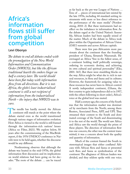### <span id="page-32-0"></span>**Africa's information flows still suffer from global competition**

#### **Levi Obonyo**

*The debate to end all debates ended with the promulgation of the New World Information and Communication Order (NWICO), but like the African traditional hearth the embers linger on half a century later. The world should have been flat today with information flow from all directions. But it is not. Africa, the globe's least industrialized continent is still a net recipient of information from the industrialized North – the injury that NWICO was to cure.*

The needle has hardly moved: the African<br>continent still stands at the point where the<br>debate started even as the world transitioned continent still stands at the point where the debate started even as the world transitioned through various stages of information evolution. How Africa is viewed in the world is still framed through the information-rich nations' lenses (Africa no Filter, 2021). We explore below, 50 years after the commissioning of the MacBride report, if the 1976 UNESCO conference in Nairobi were to be held again, whether the discourse would be any different.

Nordenstreng observes that although the debate was heated in the mid-1970s, the global information flow discussion and its implications on world relations had been going on for decades. "The roots of the debate … can be traced

as far back as the pre-war League of Nations … Tens of … pieces of international law existed by the late 1970s, including 44 standard-setting instruments with more or less direct reference to the performance of the mass media" (Nordenstreng, 2010: 2). But these instruments had no effect on the imbalance in information flow. As the debate raged at the United Nation's Assembly, African leaders had been equally seized of the matter. Much of the debate in Africa took place within the Organization of African Union (OAU) summits and across African capitals.

There were few pan-Africanists more passionate about the continent than the founding president of Ghana, Kwameh Nkurumah. He envisaged an Africa "free in the fullest sense, of a continent holding itself politically sovereign, ordering its economic destiny, and achieving its own cultural and spiritual personality" (Eko, 2001: 365). But there were stumbling blocks on the way. Africa might be what she is: rich in natural resources, in flora and fauna and in cultures. However, the framework for assigning value to these resources has never been in Africa's control. A newly independent continent, (Ghana, the first country to gain independence did so in 1957, with the others following in short order), Africa's voice at the global level was muted.

Half a century ago, the concern of the South was that the information market was dominated by merchants from the North; among them Reuters, Associated Press, AFP, and UPI. They streamed their content to the South and dominated coverage of the South and disseminating it to the rest of the world. The world saw Africa and Africa saw the world through the prism of these players. The direction of information flow was one concern, the other was the content transmitted; it was a concern about both the quality and quantity of information.

Much of the content framed the South in stereotypical images that either conflated Africans with African flora and fauna or presented such flora and fauna as symbolization of the continent. The allegiance of African leaders was divided, and they seldom spoke with one voice.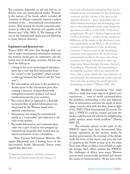The continent depended on aid and had no influence over any transnational media. "Primarily the nations of the South, which included all countries of African continent, wanted a radical overhaul of the … international communication system. They wanted the world communication system to reflect the diversity and equality of all human races" (Ojo, 2002: 3). The framing of Africa in the international media was not flattering to many African observers.

#### **Exploitative and distorted view**

Thussu (2005: 48) notes that through their control of major international information channels, the western media gave an exploitative and distorted view of developing countries. He has analyzed the failings as:

- Owing to the socio-technological imbalance there was a one-way flow information from the "centre" to the "periphery", which created a wide gap between the "haves" and the "have nots";
- The information-rich were in the position to dictate terms to the information poor, thus creating a structure of dependency with widespread economic, political and social ramifications for the poor societies;
- This vertical flow (as opposed to a desirable horizontal flow of global information) was dominated by the Western based transnational corporations;
- Information was treated by transnational media as a "commodity" and subjected to the rules of the market;
- The entire information and communication order was a part of and in turn propped up international inequality that created and sustained mechanism of neo-colonialism.

Then Tunisian Information Minister, Mustapha Masmoudi, was a leading voice of the discontented South. Masmoudi, Thussu notes, argued that there was:

"A flagrant quantitative imbalance between North and South created by the volume of

news and information emanating from the developed world and intended for the developing countries and the volume of the flow in the opposite direction… gross inequalities also existed between developed and developing countries in the distribution of the radio-frequency spectrum, as well as in the traffic of television programmes. He saw 'a defacto hegemony and a will to dominate' – evident in the marked indifference of the media in the developed countries, particularly in the West, to the problems, concerns and aspirations of the developing countries. Current events in the developing countries were reported to the world via the transnational media; at the same time, these countries were kept 'informed' of what was happening abroad through the same channels. According to Masmoudi, 'by transmitting to developing countries only news processed by them, that is, news which they have filtered, cut, and distorted, the transnational media imposed their own way of seeing the world upon the developing countries"" (Thussu, 2005: 49).

The MacBride Commission "was established to study four main aspects of global communication: … state of world communication; the problems surrounding a free and balanced flow of information; and how the needs of developing countries link with the flow; how, in light of the NIEO [New International Economic Order], a NWICO could be created and how the media could become the vehicle for enlightening public opinion about world problems" (Thussu, 2005: 50).

The obstacles placed in the path of the NWICO report have been documented. They include opposition by the western media, by western governments, the structure of the debate itself, the form of the report, and even the lack of capacity in the South to step up to the plate. There were efforts in Africa, even if feeble, to right the wrongs. Such efforts predate the NWICO. The challenges of Africa were many. Western nations were economically powerful and owned the media of communication. "80 per cent of the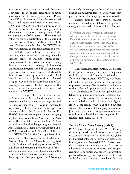international news that flow through the newsroom across the globe came from the four major news agencies – Reuters, Agence France-Presse, United Press International and the Associated Press – and international cable news networks – CNN and BBC. Of this, about 20 per cent [of the content] is devoted to developing counties, which count for almost three-quarters of the world population" (Ojo, 2002: 1). The report had "called for the democratization of the media and equal access to information" (Scher, 2010: 198). Ojo (2002: 6) concluded that "the NWICO debate was a failure," as this could hardly be done.

Still there were efforts at correcting this situation, which included the setting of media exchange centres to encourage intracontinental and intercontinental communication. Among these were plans for the exchange of films, radio and television programs, and finally establishing a pan-continental news agency. Unfortunately, these efforts – some spearheaded by the OAU, later African Union (AU) – either collapsed along the way or have not scored the kind of success expected, maybe with the exception of the film sector. The film sector efforts, however, had preceded the NWICO.

The Carthage Film Festival was the first exhibition, started in 1965 and launched a year later; it intended to counter the negative and stereotypical images of Africans in movies. It was initially held in Tunisia every two years to alternate with another African film festival, FE-SPACO, but has since gone annual bringing together film makers from Africa and the Arab world. The other initiative was the inter-African cultural revival and exchange program, Festival Pan-Africain du Cinéma de Ouagadougou, (FE-SPACO) formed in 1972 (Eko, 2001: 368).

FESPACO, like the Carthage Festival, remains one of the success stories of celebrating African films. FESPACO was later recognized and institutionalized by the government of Burkina Faso and remains a premier event of international stature. These cases of partnership in the area of film, however successful they may be, are the exceptions. Their prestige on the global stage

is relatively limited against the stated goal of presenting an authentic face of Africa when compared with the other major global film festivals.

Besides films the other areas of collaboration were in radio and television program exchanges and news distribution. Eko posits that

"Television and Radio program exchange in Africa is one of the most concrete forms of Pan-African cultural cooperation. This exchange takes several forms. They include informal station to station deals, formal bilateral cooperation agreements between African counties and their television stations, and exchanges among countries in a specific region or linguistic grouping of the continent" (Eko, 2001: 370).

The African ministers of information agreed to set up these exchange programs to help stem the imbalance. The Union of National Radio and Television Organizations, URTNA, was founded for the purpose of promoting the exchange of programs among African radio and television stations. The radio programs' exchange function was headquartered in Dakar, Senegal; while the television program exchange was located in Nairobi, Kenya. For a range of reasons, some similar to what bedeviled the Pan African News Agency (PANA), the dream of URTNA fizzled out midstream. The majority of their programs were rejected due to technical quality reasons, whereas a significant number did not pass the political and religious test (Eko, 2001: 375)

#### **The Pan African News Agency (PANA)**

PANA was set up on 20 July 1979 with lofty dreams by the African ministers for information to essentially compete with the established global media merchants, and to provide an alternative framing of news. Cavanagh (1989: 355) observes that, "Pana's mandate was to correct 'the distorted picture of Africa, its countries and peoples resulting from partial and negative information published by foreign press agencies', and to assist 'in the liberation struggles of peoples against col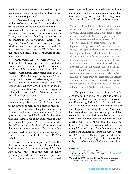onialism, neo-colonialism, imperialism, apartheid, racism, Zionism, and all other forms of exploitation and oppression'".

PANA was headquartered in Dakar, Senegal, to collect information from across the continent and transmit to the rest of the world – Africa's answer to the then big four. But its problems were created even before its offices were set up. The agency, as per its founding statute, was to disseminate the stories without so much as editing them. Many African countries applied a political rather than news prism to frame and submit stories, then sent copies to PANA long after the events had occurred, copies that were of little news value.

Furthermore, the stories were written to reflect the state of origin's position. In a word, the stories were no more than public relations materials for African governments. Even African countries were hardly using copies from PANA. Cavanagh (1989: 353) reports that in a 1985 survey by Frank Ugboajah, PANA-originated stories accounted for a meagre nine per cent of all agency supplied copy carried in Nigerian media. Nearly a decade after NWICO, western agencies still supplied between 60 and 70 per cent of news carried in Nigerian media.

Communication among African countries was never easy. Messages across African borders would have to be transmitted through their former colonial capitals making the process both expensive and time consuming. While African governments set up PANA with fanfare, they were less enthusiastic about supporting it. Few paid their subscriptions. At one time, out of the then 49 members of OAU, only eight were up to date with their subscriptions. There were other problems such as corruption and misappropriation of resources that further reduced PANA's viability.

NWICO had little impact on Africa. The direction of information traffic did not change both in terms of quantity or quality. Africa No Filter (2021), reports that "the sources for news gathering on African countries are problematic, the resulting content continues to feed old

stereotypes, and often the quality of local journalism doesn't allow for nuanced and contextualized storytelling that is critical for telling stories about the 54 countries in Africa. In summary:

"Many countries did not feature at all in the media of other African countries … conflicts and disputes under topics such as elections, politics, crime, … and protests not only predominate, but are also considered more newsworthy by editors… They cited scarce resources as the biggest challenge to cover Africa more extensively…. recognized the need for more nuanced coverage, but the available funding dictated that they use stories by western agencies, which often are in line with the expectations of western audiences, to cover stories from Africa. … agencies account for almost half (43%) of the stories about African countries in the media review. Only 19% of the agency stories in the sample size were from agencies based in Africa. This means that it is often non-Africans who set the agenda or offer perspectives on African affairs and events" (Africa no Filter, 2021: 3).

The picture in Africa is still grim. Half a century after NWICO, the MacBride Commission's report has not made a mark in the continent. Few among African journalists would know what NWICO was about. The number of major global agencies providing stories in Africa may have gone down, but there is a surge in global competition for the African audience pie. Today, nearly every major global television network such as BBC, CNN, CGTN, CNBC, Bloomberg, Al Jazeera, France 24 has programs dedicated to covering Africa and largely from their point of view. Most have multiple programs on Africa (Ndlovu, 2020). Unlike fifty years ago when there was a heated debate regarding the information flow, today that debate is muted, if it is there at all. $\blacksquare$ 

#### **References**

Africa no Filter. (2021, February 1). *How African Media Covers Africa.* Retrieved from Africa no Filter: [http://bit.ly/](http://bit.ly/AfricaNoFilter) [AfricaNoFilter.](http://bit.ly/AfricaNoFilter)

Cavanagh, K. (1989). Freeing the Pan-African News Agency. *The Journal of Modern African Studies, 27*(2), 353-365.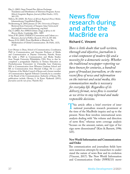- <span id="page-36-0"></span>Eko, L. (2001). Steps Toward Pan-African Exchange: Translation and Distribution of Television Programs Across Africa's Linguistic Regions. *Journal of Black Studies, 31*(3), 365-379.
- Ndlovu, M. (2020). *The Future of African Regional (News) Media.* Johannesbourg: Unpublished Report.
- Nordenstreng, K. (2010, January 27-29). *University of Tampere.* Retrieved from University of Tampere: http://www.uta.fi/ jour/english/contact/nordenstreng\_eng.html
- Ojo, T. (2002). *Post-NWICO Debate: Image of Africa in the Western Media.* Cambridge, MA: : MIT.
- Scher, P. W. (2010). UNESCO Conventions and Culture as a Resource. *Journal of Folklore Research, 47*(1-2), 187-202.
- Thussu, D. K. (2005). From MacBride to Murdoch: The Marketisation of Global Communication. *The Public, 12*(3), 47-60.

Levi Obonyo is Dean, School of Communication, Coordinator, PhD in Communication, and Associate Professor of Media and Communication at Daystar University, Nairobi, Kenya. He holds a PhD in Communication and Media Studies from Temple University, Philadelphia, USA. Prior to that he completed a postgraduate Diploma in Tertiary Education at Potchefstroomse Universiteit vir Christelike hoer Onderwys, MA in Communication from Wheaton Graduate School and BA in Communication from Messiah College. He is a past Chairman of the Media Council of Kenya and a former member of Communication Appeals Tribunal. Currently, he is a member of the Board of the Communications Authority of Kenya. His publications include: Obonyo, L. & Erneo Nyakundi. (2011), *Journalists and the rule of law.* Nairobi: ICJ

### **News flow research during and after the MacBride era**

#### **Richard C. Vincent**

*There is little doubt that well-written, thorough and objective, journalism is a vital component of modern life and a necessity for a democratic society. Whether the traditional newspaper-reporting we have known for centuries, a hundred years of broadcast journalism, or the more recent flow of news and information on the internet and social media, this communication media is necessary for everyday life. Regardless of its delivery format, news flow is essential as we strive to stay informed and make responsible decisions.*

This article offers a brief overview of inter-<br>national journalism research prominent at<br>the time of the MacBride inquiry and up to the national journalism research prominent at the time of the MacBride inquiry and up to the present. News flow involves international news analysis dealing with "the volume and direction of news flow," whereas news coverage analysis "focuses on the amount, nature, and type of foreign news disseminated" (Kim & Barnett, 1996: 325).

#### **New World Information and Communication and Order**

The communication and journalism fields have seen numerous attempts by researchers to understand the nature of news flow and its evolution (Vincent, 2017). The New World Information and Communication Order (NWICO) move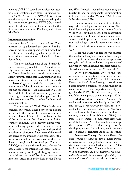ment at UNESCO served as a nucleus for attention to international news flow (Galtung & Vincent, 1992). Central to the NWICO discussions was the unequal flow of news generated by the five major news agencies. UNESCO's central forum for debate was the Commission for the Study of Communication Problems, under Seán MacBride.

#### **International news flow**

The Commission's Report (International Commission, 1980) addressed the perceived imbalances in world media operations and news flow and the accuracy and geographic inequalities of international news reporting, including North-South flow.

The news landscape has changed markedly since those early years. CNN, BBC, and regionally based Al Jazeera are now dominant players. News dissemination is nearly instantaneous. Many currently participate in newsgathering and news production vis-à-vis online bulletin boards and blogs, vlogs, wikis, and SMS. The podcast is reminiscent of the old audio cassette, a vehicle popular for mass message dissemination across the Middle East and elsewhere in bygone decades. Digital journalism includes hypertextuality, public-connectivity Web sites like Slashdot, and cloud journalism.

The internet and World Wide Web have changed our world. Lines between traditional media and other forms of communication have become blurred. High tech allows large swaths of the public to join the information revolution. Wireless communication delivers digital products, including games, videos, news, websites, office tasks, education programs, and political mobilization platforms. About 60% of the world has access to the internet. More than half of the world uses social media. Facebook has three billion users. Yet, in the Least Developed Countries (LDCs), not all enjoy these advances. Only 9.5% have access to the internet. The internet also remains primarily an English language vehicle, so individuals in the Global South continue to have less access than individuals in the North

and West. Ironically, inequalities seen during the MacBride era, or comparable communication imbalances, exist today (Vincent, 1998; Vincent & Nordenstreng, 2016).

Thanks to new communication technology, other developments include personalized hand device telephones and the internet/World Wide Web. They have changed the construction and distribution of data, information, and news across multiple platforms. Today's communication technologies provide transmission speeds that the MacBride Commission could only imagine.

Since the MacBride Report was released, the media industry's economics has changed markedly. Scores of traditional newspapers have struggled and closed, and advertising revenue of newspapers, magazines, and broadcast media has shifted mainly to the internet (Vincent, 2016).

**News Determinants.** Two of the earliest studies of international news determinants were the IPI study (1953) and Schramm's *One Day in the World's Press*, looking at world newspapers' images. Schramm concluded that not all countries were covered proportionally or by geographic size (1959). Two decades later, Gerbner and Marvanyi reported similar findings (1977).

**Modernization Theory.** Common media and journalism scholarship in the 1950s and 1960s, *Modernization* moulded the news media literature decades before the MacBride era. Looking at the development of Third World nations, some, such as Schramm (1964) and Pool (1964), embrace a modernist view (Lerner & Schramm, 1967). These studies encourage the adoption of Western values and practices in developing nations. In addition, media are considered agents of technical and social innovation.

**Normative Theory.** *Normative Theories* describe values or ideals on how a media system operates within society. The best-known normative theories in communication are in the 1956 book by Fred Siebert, Theodore Peterson and Wilbur Schramm, *The Four Theories of the Press* – *authoritarian, libertarian, social-responsibility*, and *communist-socialist* – define the various world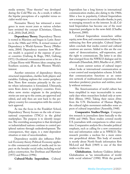media systems. "Four theories" was developed during the Cold War era. As a result, it reflects the bipolar perceptions of a capitalist versus socialist world view.

Normative Theory has witnessed a resurgence in more recent years as various scholars have revisited the concept (Christians, Glasser, et al., 2010; Duff, 2012).

**Dependency Theory.** Dependency Theory is rooted in Marxism and began in Latin America in the 1960s and 1970s. A revised version of Dependency is World-Systems Theory (Wallerstein, 2004). Dependency examines how Western wealth is acquired at the expense of poorer countries (Galtung & Ruge, 1965, Galtung, 1971). Occidental communication serves a bit as a Trojan Horse with Western ideas creeping into Southern societies, all in the Western World's interest.

Another extension of dependency theory, structural imperialism, clarifies both players and variables. Galtung explores the centre-periphery flow. News flow remains primarily in the centre where information is formulated. Ultimately, news flows down to periphery countries. Even when news stories originate in the periphery, stories are sent up to the centre, are approved and edited, and only then are sent back to the periphery country for consumption with the centre's tacit approval.

As was the focus in the Frankfurt School, Dependency Theory focuses on the role of transnational corporations (TNCs) in the global marketplace. The purpose is to identify inequities. The overriding assumption is that developed or industrialized nations continue to control peripheral nations through underdevelopment. The consequences, they argue, is a state-dependent situation or state of neocolonialism.

Dependency models also influence Political-Economy theory. Political-Economy applies to elite commercial control of media and its impact on the broader social order, including social policy construction. See Dorfman and Mattelart (1971) and Mosco (1996).

**Cultural/Media Imperialism.** Cultural

Imperialism has a long history in international communication studies, also dating to the 1960s. After a loss in popularity, Cultural Imperialism saw a resurgence in recent decades thanks, in part, to emerging research on the internet. In all, Cultural Imperialism has become one of the most important paradigms in the news field. (Chadha & Kavoori, 2000).

Cultural Imperialism researchers utilize equity, news flow, and communication balance by embracing free flow principles. Cultural Imperialists conclude that media control and cultural creations are uneven. Added to this are the concepts of democratization, self-expression, and the right to communicate. The latter is an idea that emerged from the NWICO dialogue and its aftermath (Hamelink, 2003; Mueller et al., 2007).

A more current notion of cultural imperialism looks at international communication as a vast control and manipulation scheme. It holds that communication functions as an extensive network of multinational corporations that introduce predatory practices and entities, mostly without resistance.

The Americanization of world culture has been simplified in ways inconceivable in some early days when researchers looked only at news flow (Ritzer, 1992). Taking their raison d'être from the U.N. Declaration of Human Rights, the cultural rights movement embodies some aspects of cultural imperialism (Assembly, 1948).

**Comparative Studies/Design.** Comparative research in journalism dates basically to the 1950s and 1960s. These studies covered mostly U.S. journalism with comparisons to other countries. Comparative analysis fits a broader political emphasis, such as calling for a new communication and information order as in NWICO. The research provides a nucleus for a more extensive geopolitical debate. This body of research is mostly about North-South information flow. McLeod and Rush (1969) is one of the first studies in this area.

**Globalization.** Anthony Giddens defines Globalization as "an intensification of worldwide social relations" (1990). With the growth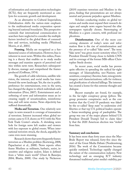of information and communication technologies (ICTs), they are frequently mentioned as catalysts for economic growth and development.

As an alternative to Cultural Imperialism, Globalization shifts the nation-state emphasis to the multinational media corporation operating beyond national boundaries. This perspective contends that international communication researchers have neglected to consider the multiple factors involved in the global flows of commodities and services, including media (Waisbord, Morris, et al., 2001).

**Framing.** Media are recognized as a fundamental source of information. However, bias is inherent in most news. Within this milieu, Framing is a theory that enables us to study media messages and examine aspects of perceived realities within news texts. Researchers subsequently discuss, manage and comprehend the frames produced (Goffman, 1974).

The growth of cable television, satellite television, the internet, and social media has transformed the news landscape. Yet, the rise in public preference for entertainment, even in the news, has changed the degree to which individuals seek information (Prior, 2007). Entertainment and a softening of news and information mean an increasing supply of sensationalism, misinformation, and soft news stories. News objectivity has suffered dramatically.

**Media and Terrorism.** One relatively new topic in news research is coverage of transnational terrorism. Interest increased when global terrorism came to U.S. shores on 9/11 with the New York Trade Center's attacks. A shrinking news hole for foreign news left readers and viewers with less exposure to global events. When international terrorists struck, the shock, arguably, became even more stunning.

Research shows that news frequently frames terrorism as a Muslim problem (Korteweg, 2008; Papacharissi et al., 2008). News reports often frame Muslims as militants, barbaric, sexist, insensitive and religious zealots. Islam is defined from a "white man's world" (Osuri & Banerjee, 2004; Bhatia, 2008). One study by Nickerson

(2019) examines terrorism and Muslims in the press, finding that presentations are not always neutral and promote prejudice against Muslims.

Scholars conducting studies on global terrorism and media must expand their research designs and sample news organs beyond the elite newspapers typically chosen. Stereotyping of Muslims is a grave concern, with profound implications.

**Disinformation.** One of the more concerning elements of today's news and information flow is the rise of misinformation and the presence of so-called "fake news". The term "fake news" was given recent notoriety when U.S. President Donald Trump chose to belittle CNN and its coverage of the former MI6 officer Christopher Steele dossier.

In recent years, social media has proven quite effective in spreading the radical far-right messages of Islamophobia; neo-Nazism; antisemitism; conspiracy theories; hate; misogynistic imagery and characterizations; calls for violence; and glorification of selected killings. The internet has created a home for this extreme thought and dialogue.

Recent examples are found, for example, in the far-right conspiracy group *QAnon*. The group promotes conspiracies such as the contention that the Covid-19 pandemic was faked by the so-called "deep state" to undermine civil liberties or that top U.S. political leaders operate a Satan-worshiping group of paedophiles. The group was one of the major players behind U.S. President Donald Trump's bid to claim falsely that the 2020 American election was "stolen" from him.

#### **Summary and conclusions**

It has been more than forty years since the Mac-Bride Report was released, forty-five since the start of the Great Media Debate (Nordenstreng, 2016). The work of the Commission became quickly outdated. Technology rapidly changed the nature of the communication industry. New technology and an emerging ICT industry threatened traditional print media's stability, par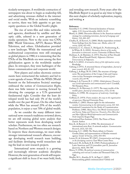ticularly newspapers. A worldwide contraction of newspapers was about to begin as readership fell, and advertising revenues shifted to the internet and social media. With an industry scrambling to survive, there was little appetite to get into equity questions or the Global South's plight.

The rise of news-film and video networks and agencies, distributed by satellite and fibre optic cable, ushered in a new generation of media operations. New to the scene was CNN, BBC World Television, APTV, Reuters World Television, and others. Globalization provided a new landscape. While the transnational and multinational corporations were still emerging as global players in 1980, it is interesting that the TNAs of the MacBride era were among the first globalization agents in the worldwide marketplace. In retrospect, they were harbingers of the future communication and corporate world.

New players and online electronic environments have restructured the industry and led to a new agenda of issues. While the WSIS (World Summit on the Information Society) meetings embraced the notion of *Communication Rights*, there was little interest in moving forward by elevating the campaign as a U.N.-guaranteed fundamental right. Consider that the least developed world has had only 1% of the world's wealth over the past 40 years. On the other hand, while the West has around 25% of the world's population, it enjoys a vast 70% of global wealth.

As we consider the many different international news research traditions reviewed above, we are still missing global news analysis that better represents work from developing world scholars. Furthermore, we too often see research based on Northern and Western research designs. To improve these shortcomings, we must strike stronger international research alliances, encourage developing world research team building, and facilitate developing world researchers taking the lead on new research projects.

International news research is a growing and increasingly relevant academic discipline. However, the next generation of work will require a significant shift in focus if we want bold, fresh,

and revealing new research. Forty years after the MacBride Report is as good as any time to begin this next chapter of scholarly exploration, inquiry, and writing.

#### **References**

- Assembly, U. G. (1948). Universal declaration of human rights. *U.N. General Assembly*, *302*(2), 14-25.
- Bhatia, A. (2008). Discursive illusions in the American national strategy for combating terrorism. *Journal of Language and Politics*, *7*(2), 201-227.
- Chadha, K., & Kavoori, A. (2000). Media imperialism revisited: Some findings from the Asian case. *Media, culture & society*, *22*(4), 415-432.
- Christians, C. G., Glasser, T., McQuail, D., Nordenstreng, K., & White, R. A. (2010). *Normative theories of the media: Journalism in democratic societies*. University of Illinois Press.

Dorfman, A., & Mattelart, A. (1971). Para leer al Pato Donald [How to Read Donald Duck]. *Valparaíso: Ediciones Universitarias de Valparaíso*.

- Duff, A. S. (2012). *A normative theory of the information society*. Routledge.
- Galtung, J. (1971). A structural theory of imperialism. *Journal of peace research*, *8*(2), 81-117.
- Galtung, J., & Ruge, M. H. (1965). The structure of foreign news: The presentation of the Congo, Cuba and Cyprus crises in four Norwegian newspapers. *Journal of peace research*, *2*(1), 64-90.
- Galtung, J., & Vincent, R. C. (1992). *Global glasnost: Toward a new world information and communication order?*. Cresskill, NJ: Hampton Press.
- Gerbner, G., & Marvanyi, G. (1977). The many worlds of the world's press. *Journal of communication*, *27*(1), 52-66.
- Giddens, A. (1990). *The consequences of modernity. Cambridge: Polity*.
- Goffman, E. (1974). *Frame analysis: An essay on the organization of experience*. Harvard University Press.
- Hamelink, C. (2003). Human rights for the information society. *Communicating in the information society*, 121-163.
- International Commission for the Study of Communication Problems. (1980). *Many Voices, One World: Communication and Society, Today and Tomorrow: Towards a New More Just and More Efficient World Information and Communication Order* [report]. Kogan Page.
- International Press Institute. (1953). The Flows of News. Zurich: Author.
- Kim, K., & Barnett, G. A. (1996). The determinants of international news flow: A network analysis. *Communication Research*, *23*(3), 323-352.
- Korteweg, A. C. (2008). The Sharia debate in Ontario: Gender, Islam, and representations of Muslim women's agency. *Gender & Society*, *22*(4), 434-454.
- Lerner, D., & Schramm, W. (1967). *Communication and change in the developing countries*. East-West Center Press.
- McLeod, J. M., & Rush, R. R. (1969). Professionalization of Latin American and U.S. journalists: part II. *Journalism Quarterly*, *46*(4), 784-789.
- Mosco, V. (1996), *The political economy of communication: rethinking and renewal*. London and Thousand Oaks, CA: Sage.
- Mueller, M. L., Kuerbis, B. N., & Pagé, C. (2007). Democratizing global communication? Global civil